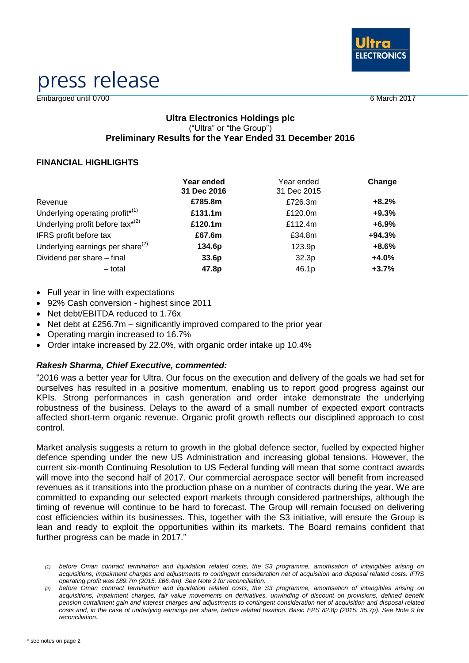

# press release

Embargoed until 0700 6 March 2017

#### **Ultra Electronics Holdings plc** ("Ultra" or "the Group") **Preliminary Results for the Year Ended 31 December 2016**

#### **FINANCIAL HIGHLIGHTS**

|                                                          | Year ended  | Year ended  | Change   |
|----------------------------------------------------------|-------------|-------------|----------|
|                                                          | 31 Dec 2016 | 31 Dec 2015 |          |
| Revenue                                                  | £785.8m     | £726.3m     | $+8.2%$  |
| Underlying operating profit <sup><math>*(1)</math></sup> | £131.1m     | £120.0m     | $+9.3%$  |
| Underlying profit before tax <sup>*(2)</sup>             | £120.1m     | £112.4m     | $+6.9%$  |
| IFRS profit before tax                                   | £67.6m      | £34.8m      | $+94.3%$ |
| Underlying earnings per share $^{(2)}$                   | 134.6p      | 123.9p      | $+8.6%$  |
| Dividend per share - final                               | 33.6p       | 32.3p       | $+4.0%$  |
| - total                                                  | 47.8p       | 46.1p       | $+3.7%$  |

- Full year in line with expectations
- 92% Cash conversion highest since 2011
- Net debt/EBITDA reduced to 1.76x
- Net debt at  $£256.7m -$  significantly improved compared to the prior year
- Operating margin increased to 16.7%
- Order intake increased by 22.0%, with organic order intake up 10.4%

#### *Rakesh Sharma, Chief Executive, commented:*

"2016 was a better year for Ultra. Our focus on the execution and delivery of the goals we had set for ourselves has resulted in a positive momentum, enabling us to report good progress against our KPIs. Strong performances in cash generation and order intake demonstrate the underlying robustness of the business. Delays to the award of a small number of expected export contracts affected short-term organic revenue. Organic profit growth reflects our disciplined approach to cost control.

Market analysis suggests a return to growth in the global defence sector, fuelled by expected higher defence spending under the new US Administration and increasing global tensions. However, the current six-month Continuing Resolution to US Federal funding will mean that some contract awards will move into the second half of 2017. Our commercial aerospace sector will benefit from increased revenues as it transitions into the production phase on a number of contracts during the year. We are committed to expanding our selected export markets through considered partnerships, although the timing of revenue will continue to be hard to forecast. The Group will remain focused on delivering cost efficiencies within its businesses. This, together with the S3 initiative, will ensure the Group is lean and ready to exploit the opportunities within its markets. The Board remains confident that further progress can be made in 2017."

*<sup>(1)</sup> before Oman contract termination and liquidation related costs, the S3 programme, amortisation of intangibles arising on acquisitions, impairment charges and adjustments to contingent consideration net of acquisition and disposal related costs. IFRS operating profit was £89.7m (2015: £66.4m). See Note 2 for reconciliation.*

*<sup>(2)</sup> before Oman contract termination and liquidation related costs, the S3 programme, amortisation of intangibles arising on acquisitions, impairment charges, fair value movements on derivatives, unwinding of discount on provisions, defined benefit pension curtailment gain and interest charges and adjustments to contingent consideration net of acquisition and disposal related costs and, in the case of underlying earnings per share, before related taxation. Basic EPS 82.8p (2015: 35.7p). See Note 9 for reconciliation.*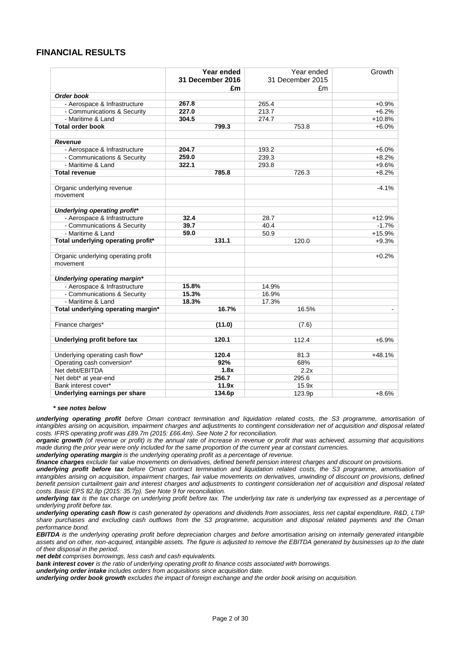#### **FINANCIAL RESULTS**

|                                                 | Year ended<br>31 December 2016 | Year ended<br>31 December 2015 | Growth   |
|-------------------------------------------------|--------------------------------|--------------------------------|----------|
|                                                 | £m                             | £m                             |          |
| Order book                                      |                                |                                |          |
| - Aerospace & Infrastructure                    | 267.8                          | 265.4                          | $+0.9%$  |
| - Communications & Security                     | 227.0                          | 213.7                          | $+6.2%$  |
| - Maritime & Land                               | 304.5                          | 274.7                          | $+10.8%$ |
| <b>Total order book</b>                         | 799.3                          | 753.8                          | $+6.0%$  |
|                                                 |                                |                                |          |
| <b>Revenue</b>                                  |                                |                                |          |
| - Aerospace & Infrastructure                    | 204.7                          | 193.2                          | $+6.0%$  |
| - Communications & Security                     | 259.0                          | 239.3                          | $+8.2%$  |
| - Maritime & Land                               | 322.1                          | 293.8                          | $+9.6%$  |
| <b>Total revenue</b>                            | 785.8                          | 726.3                          | $+8.2%$  |
| Organic underlying revenue                      |                                |                                | $-4.1%$  |
| movement                                        |                                |                                |          |
| Underlying operating profit*                    |                                |                                |          |
| - Aerospace & Infrastructure                    | 32.4                           | 28.7                           | $+12.9%$ |
| - Communications & Security                     | 39.7                           | 40.4                           | $-1.7%$  |
| - Maritime & Land                               | 59.0                           | 50.9                           | $+15.9%$ |
| Total underlying operating profit*              | 131.1                          | 120.0                          | $+9.3%$  |
|                                                 |                                |                                |          |
| Organic underlying operating profit<br>movement |                                |                                | $+0.2%$  |
| Underlying operating margin*                    |                                |                                |          |
| - Aerospace & Infrastructure                    | 15.8%                          | 14.9%                          |          |
| - Communications & Security                     | 15.3%                          | 16.9%                          |          |
| - Maritime & Land                               | 18.3%                          | 17.3%                          |          |
| Total underlying operating margin*              | 16.7%                          | 16.5%                          |          |
| Finance charges*                                | (11.0)                         | (7.6)                          |          |
|                                                 |                                |                                |          |
| Underlying profit before tax                    | 120.1                          | 112.4                          | $+6.9%$  |
| Underlying operating cash flow*                 | 120.4                          | 81.3                           | $+48.1%$ |
| Operating cash conversion*                      | 92%                            | 68%                            |          |
| Net debt/EBITDA                                 | 1.8x                           | 2.2x                           |          |
| Net debt* at year-end                           | 256.7                          | 295.6                          |          |
| Bank interest cover*                            | 11.9x                          | 15.9x                          |          |
| Underlying earnings per share                   | 134.6p                         | 123.9p                         | $+8.6%$  |

#### *\* see notes below*

*underlying operating profit before Oman contract termination and liquidation related costs, the S3 programme, amortisation of intangibles arising on acquisition, impairment charges and adjustments to contingent consideration net of acquisition and disposal related costs. IFRS operating profit was £89.7m (2015: £66.4m). See Note 2 for reconciliation.*

*organic growth (of revenue or profit) is the annual rate of increase in revenue or profit that was achieved, assuming that acquisitions made during the prior year were only included for the same proportion of the current year at constant currencies.*

*underlying operating margin is the underlying operating profit as a percentage of revenue.*

*finance charges exclude fair value movements on derivatives, defined benefit pension interest charges and discount on provisions.*

*underlying profit before tax before Oman contract termination and liquidation related costs, the S3 programme, amortisation of intangibles arising on acquisition, impairment charges, fair value movements on derivatives, unwinding of discount on provisions, defined benefit pension curtailment gain and interest charges and adjustments to contingent consideration net of acquisition and disposal related costs. Basic EPS 82.8p (2015: 35.7p). See Note 9 for reconciliation.*

*underlying tax is the tax charge on underlying profit before tax. The underlying tax rate is underlying tax expressed as a percentage of underlying profit before tax.*

*underlying operating cash flow is cash generated by operations and dividends from associates, less net capital expenditure, R&D, LTIP share purchases and excluding cash outflows from the S3 programme, acquisition and disposal related payments and the Oman performance bond.*

*EBITDA is the underlying operating profit before depreciation charges and before amortisation arising on internally generated intangible assets and on other, non-acquired, intangible assets. The figure is adjusted to remove the EBITDA generated by businesses up to the date of their disposal in the period.*

*net debt comprises borrowings, less cash and cash equivalents.*

*bank interest cover is the ratio of underlying operating profit to finance costs associated with borrowings.*

*underlying order intake includes orders from acquisitions since acquisition date.* 

*underlying order book growth excludes the impact of foreign exchange and the order book arising on acquisition.*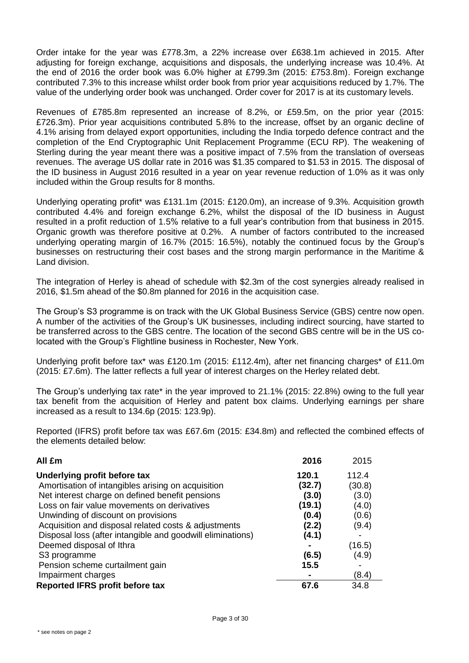Order intake for the year was £778.3m, a 22% increase over £638.1m achieved in 2015. After adjusting for foreign exchange, acquisitions and disposals, the underlying increase was 10.4%. At the end of 2016 the order book was 6.0% higher at £799.3m (2015: £753.8m). Foreign exchange contributed 7.3% to this increase whilst order book from prior year acquisitions reduced by 1.7%. The value of the underlying order book was unchanged. Order cover for 2017 is at its customary levels.

Revenues of £785.8m represented an increase of 8.2%, or £59.5m, on the prior year (2015: £726.3m). Prior year acquisitions contributed 5.8% to the increase, offset by an organic decline of 4.1% arising from delayed export opportunities, including the India torpedo defence contract and the completion of the End Cryptographic Unit Replacement Programme (ECU RP). The weakening of Sterling during the year meant there was a positive impact of 7.5% from the translation of overseas revenues. The average US dollar rate in 2016 was \$1.35 compared to \$1.53 in 2015. The disposal of the ID business in August 2016 resulted in a year on year revenue reduction of 1.0% as it was only included within the Group results for 8 months.

Underlying operating profit\* was £131.1m (2015: £120.0m), an increase of 9.3%. Acquisition growth contributed 4.4% and foreign exchange 6.2%, whilst the disposal of the ID business in August resulted in a profit reduction of 1.5% relative to a full year's contribution from that business in 2015. Organic growth was therefore positive at 0.2%. A number of factors contributed to the increased underlying operating margin of 16.7% (2015: 16.5%), notably the continued focus by the Group's businesses on restructuring their cost bases and the strong margin performance in the Maritime & Land division.

The integration of Herley is ahead of schedule with \$2.3m of the cost synergies already realised in 2016, \$1.5m ahead of the \$0.8m planned for 2016 in the acquisition case.

The Group's S3 programme is on track with the UK Global Business Service (GBS) centre now open. A number of the activities of the Group's UK businesses, including indirect sourcing, have started to be transferred across to the GBS centre. The location of the second GBS centre will be in the US colocated with the Group's Flightline business in Rochester, New York.

Underlying profit before tax\* was £120.1m (2015: £112.4m), after net financing charges\* of £11.0m (2015: £7.6m). The latter reflects a full year of interest charges on the Herley related debt.

The Group's underlying tax rate\* in the year improved to 21.1% (2015: 22.8%) owing to the full year tax benefit from the acquisition of Herley and patent box claims. Underlying earnings per share increased as a result to 134.6p (2015: 123.9p).

Reported (IFRS) profit before tax was £67.6m (2015: £34.8m) and reflected the combined effects of the elements detailed below:

| All £m                                                     | 2016   | 2015                     |
|------------------------------------------------------------|--------|--------------------------|
| Underlying profit before tax                               | 120.1  | 112.4                    |
| Amortisation of intangibles arising on acquisition         | (32.7) | (30.8)                   |
| Net interest charge on defined benefit pensions            | (3.0)  | (3.0)                    |
| Loss on fair value movements on derivatives                | (19.1) | (4.0)                    |
| Unwinding of discount on provisions                        | (0.4)  | (0.6)                    |
| Acquisition and disposal related costs & adjustments       | (2.2)  | (9.4)                    |
| Disposal loss (after intangible and goodwill eliminations) | (4.1)  | $\overline{\phantom{0}}$ |
| Deemed disposal of Ithra                                   |        | (16.5)                   |
| S <sub>3</sub> programme                                   | (6.5)  | (4.9)                    |
| Pension scheme curtailment gain                            | 15.5   |                          |
| Impairment charges                                         |        | (8.4)                    |
| <b>Reported IFRS profit before tax</b>                     | 67.6   | 34.8                     |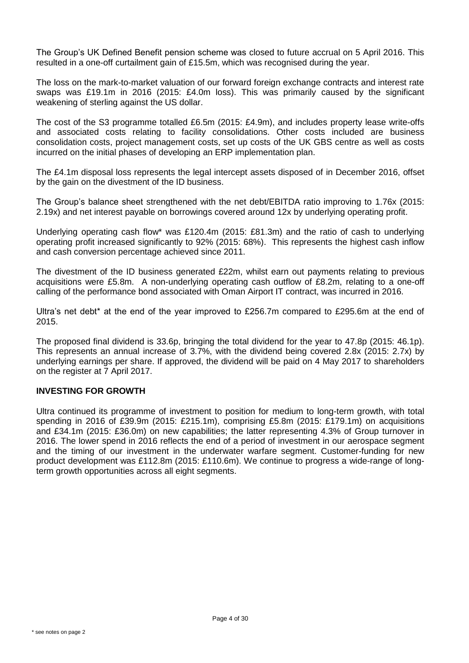The Group's UK Defined Benefit pension scheme was closed to future accrual on 5 April 2016. This resulted in a one-off curtailment gain of £15.5m, which was recognised during the year.

The loss on the mark-to-market valuation of our forward foreign exchange contracts and interest rate swaps was £19.1m in 2016 (2015: £4.0m loss). This was primarily caused by the significant weakening of sterling against the US dollar.

The cost of the S3 programme totalled £6.5m (2015: £4.9m), and includes property lease write-offs and associated costs relating to facility consolidations. Other costs included are business consolidation costs, project management costs, set up costs of the UK GBS centre as well as costs incurred on the initial phases of developing an ERP implementation plan.

The £4.1m disposal loss represents the legal intercept assets disposed of in December 2016, offset by the gain on the divestment of the ID business.

The Group's balance sheet strengthened with the net debt/EBITDA ratio improving to 1.76x (2015: 2.19x) and net interest payable on borrowings covered around 12x by underlying operating profit.

Underlying operating cash flow\* was £120.4m (2015: £81.3m) and the ratio of cash to underlying operating profit increased significantly to 92% (2015: 68%). This represents the highest cash inflow and cash conversion percentage achieved since 2011.

The divestment of the ID business generated £22m, whilst earn out payments relating to previous acquisitions were £5.8m. A non-underlying operating cash outflow of £8.2m, relating to a one-off calling of the performance bond associated with Oman Airport IT contract, was incurred in 2016.

Ultra's net debt\* at the end of the year improved to £256.7m compared to £295.6m at the end of 2015.

The proposed final dividend is 33.6p, bringing the total dividend for the year to 47.8p (2015: 46.1p). This represents an annual increase of 3.7%, with the dividend being covered 2.8x (2015: 2.7x) by underlying earnings per share. If approved, the dividend will be paid on 4 May 2017 to shareholders on the register at 7 April 2017.

#### **INVESTING FOR GROWTH**

Ultra continued its programme of investment to position for medium to long-term growth, with total spending in 2016 of £39.9m (2015: £215.1m), comprising £5.8m (2015: £179.1m) on acquisitions and £34.1m (2015: £36.0m) on new capabilities; the latter representing 4.3% of Group turnover in 2016. The lower spend in 2016 reflects the end of a period of investment in our aerospace segment and the timing of our investment in the underwater warfare segment. Customer-funding for new product development was £112.8m (2015: £110.6m). We continue to progress a wide-range of longterm growth opportunities across all eight segments.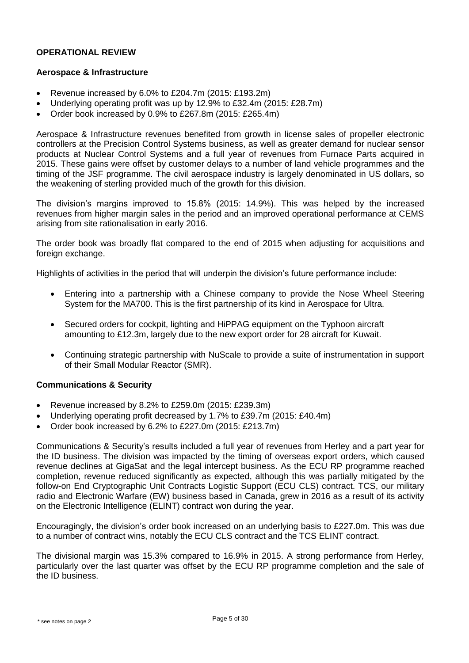#### **OPERATIONAL REVIEW**

#### **Aerospace & Infrastructure**

- Revenue increased by 6.0% to £204.7m (2015: £193.2m)
- Underlying operating profit was up by 12.9% to £32.4m (2015: £28.7m)
- Order book increased by 0.9% to £267.8m (2015: £265.4m)

Aerospace & Infrastructure revenues benefited from growth in license sales of propeller electronic controllers at the Precision Control Systems business, as well as greater demand for nuclear sensor products at Nuclear Control Systems and a full year of revenues from Furnace Parts acquired in 2015. These gains were offset by customer delays to a number of land vehicle programmes and the timing of the JSF programme. The civil aerospace industry is largely denominated in US dollars, so the weakening of sterling provided much of the growth for this division.

The division's margins improved to 15.8% (2015: 14.9%). This was helped by the increased revenues from higher margin sales in the period and an improved operational performance at CEMS arising from site rationalisation in early 2016.

The order book was broadly flat compared to the end of 2015 when adjusting for acquisitions and foreign exchange.

Highlights of activities in the period that will underpin the division's future performance include:

- Entering into a partnership with a Chinese company to provide the Nose Wheel Steering System for the MA700. This is the first partnership of its kind in Aerospace for Ultra.
- Secured orders for cockpit, lighting and HiPPAG equipment on the Typhoon aircraft amounting to £12.3m, largely due to the new export order for 28 aircraft for Kuwait.
- Continuing strategic partnership with NuScale to provide a suite of instrumentation in support of their Small Modular Reactor (SMR).

#### **Communications & Security**

- Revenue increased by 8.2% to £259.0m (2015: £239.3m)
- Underlying operating profit decreased by 1.7% to £39.7m (2015: £40.4m)
- Order book increased by 6.2% to £227.0m (2015: £213.7m)

Communications & Security's results included a full year of revenues from Herley and a part year for the ID business. The division was impacted by the timing of overseas export orders, which caused revenue declines at GigaSat and the legal intercept business. As the ECU RP programme reached completion, revenue reduced significantly as expected, although this was partially mitigated by the follow-on End Cryptographic Unit Contracts Logistic Support (ECU CLS) contract. TCS, our military radio and Electronic Warfare (EW) business based in Canada, grew in 2016 as a result of its activity on the Electronic Intelligence (ELINT) contract won during the year.

Encouragingly, the division's order book increased on an underlying basis to £227.0m. This was due to a number of contract wins, notably the ECU CLS contract and the TCS ELINT contract.

The divisional margin was 15.3% compared to 16.9% in 2015. A strong performance from Herley, particularly over the last quarter was offset by the ECU RP programme completion and the sale of the ID business.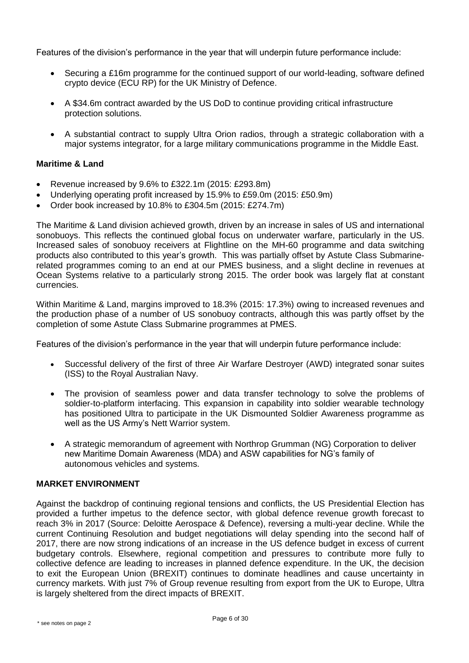Features of the division's performance in the year that will underpin future performance include:

- Securing a £16m programme for the continued support of our world-leading, software defined crypto device (ECU RP) for the UK Ministry of Defence.
- A \$34.6m contract awarded by the US DoD to continue providing critical infrastructure protection solutions.
- A substantial contract to supply Ultra Orion radios, through a strategic collaboration with a major systems integrator, for a large military communications programme in the Middle East.

#### **Maritime & Land**

- Revenue increased by 9.6% to £322.1m (2015: £293.8m)
- Underlying operating profit increased by 15.9% to £59.0m (2015: £50.9m)
- Order book increased by 10.8% to £304.5m (2015: £274.7m)

The Maritime & Land division achieved growth, driven by an increase in sales of US and international sonobuoys. This reflects the continued global focus on underwater warfare, particularly in the US. Increased sales of sonobuoy receivers at Flightline on the MH-60 programme and data switching products also contributed to this year's growth. This was partially offset by Astute Class Submarinerelated programmes coming to an end at our PMES business, and a slight decline in revenues at Ocean Systems relative to a particularly strong 2015. The order book was largely flat at constant currencies.

Within Maritime & Land, margins improved to 18.3% (2015: 17.3%) owing to increased revenues and the production phase of a number of US sonobuoy contracts, although this was partly offset by the completion of some Astute Class Submarine programmes at PMES.

Features of the division's performance in the year that will underpin future performance include:

- Successful delivery of the first of three Air Warfare Destroyer (AWD) integrated sonar suites (ISS) to the Royal Australian Navy.
- The provision of seamless power and data transfer technology to solve the problems of soldier-to-platform interfacing. This expansion in capability into soldier wearable technology has positioned Ultra to participate in the UK Dismounted Soldier Awareness programme as well as the US Army's Nett Warrior system.
- A strategic memorandum of agreement with Northrop Grumman (NG) Corporation to deliver new Maritime Domain Awareness (MDA) and ASW capabilities for NG's family of autonomous vehicles and systems.

#### **MARKET ENVIRONMENT**

Against the backdrop of continuing regional tensions and conflicts, the US Presidential Election has provided a further impetus to the defence sector, with global defence revenue growth forecast to reach 3% in 2017 (Source: Deloitte Aerospace & Defence), reversing a multi-year decline. While the current Continuing Resolution and budget negotiations will delay spending into the second half of 2017, there are now strong indications of an increase in the US defence budget in excess of current budgetary controls. Elsewhere, regional competition and pressures to contribute more fully to collective defence are leading to increases in planned defence expenditure. In the UK, the decision to exit the European Union (BREXIT) continues to dominate headlines and cause uncertainty in currency markets. With just 7% of Group revenue resulting from export from the UK to Europe, Ultra is largely sheltered from the direct impacts of BREXIT.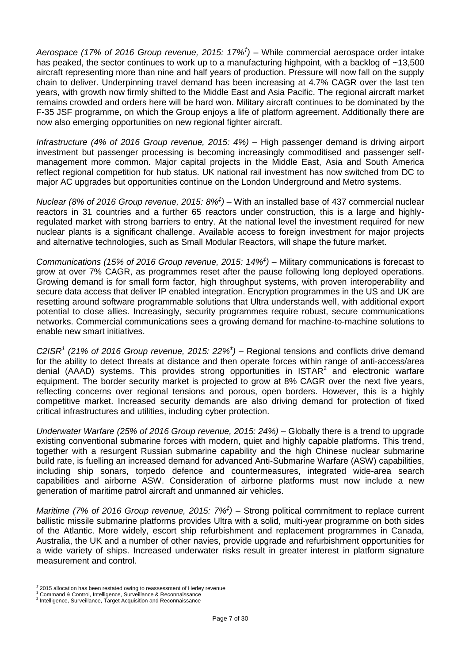*Aerospace (17% of 2016 Group revenue, 2015: 17% ‡ ) –* While commercial aerospace order intake has peaked, the sector continues to work up to a manufacturing highpoint, with a backlog of ~13,500 aircraft representing more than nine and half years of production. Pressure will now fall on the supply chain to deliver. Underpinning travel demand has been increasing at 4.7% CAGR over the last ten years, with growth now firmly shifted to the Middle East and Asia Pacific. The regional aircraft market remains crowded and orders here will be hard won. Military aircraft continues to be dominated by the F-35 JSF programme, on which the Group enjoys a life of platform agreement. Additionally there are now also emerging opportunities on new regional fighter aircraft.

*Infrastructure (4% of 2016 Group revenue, 2015: 4%) –* High passenger demand is driving airport investment but passenger processing is becoming increasingly commoditised and passenger selfmanagement more common. Major capital projects in the Middle East, Asia and South America reflect regional competition for hub status. UK national rail investment has now switched from DC to major AC upgrades but opportunities continue on the London Underground and Metro systems.

*Nuclear (8% of 2016 Group revenue, 2015: 8%<sup>‡</sup>) – With an installed base of 437 commercial nuclear* reactors in 31 countries and a further 65 reactors under construction, this is a large and highlyregulated market with strong barriers to entry. At the national level the investment required for new nuclear plants is a significant challenge. Available access to foreign investment for major projects and alternative technologies, such as Small Modular Reactors, will shape the future market.

*Communications (15% of 2016 Group revenue, 2015: 14% ‡ ) –* Military communications is forecast to grow at over 7% CAGR, as programmes reset after the pause following long deployed operations. Growing demand is for small form factor, high throughput systems, with proven interoperability and secure data access that deliver IP enabled integration. Encryption programmes in the US and UK are resetting around software programmable solutions that Ultra understands well, with additional export potential to close allies. Increasingly, security programmes require robust, secure communications networks. Commercial communications sees a growing demand for machine-to-machine solutions to enable new smart initiatives.

*C2ISR<sup>1</sup> (21% of 2016 Group revenue, 2015: 22% ‡ ) –* Regional tensions and conflicts drive demand for the ability to detect threats at distance and then operate forces within range of anti-access/area denial (AAAD) systems. This provides strong opportunities in  $ISTAR<sup>2</sup>$  and electronic warfare equipment. The border security market is projected to grow at 8% CAGR over the next five years, reflecting concerns over regional tensions and porous, open borders. However, this is a highly competitive market. Increased security demands are also driving demand for protection of fixed critical infrastructures and utilities, including cyber protection.

*Underwater Warfare (25% of 2016 Group revenue, 2015: 24%) –* Globally there is a trend to upgrade existing conventional submarine forces with modern, quiet and highly capable platforms. This trend, together with a resurgent Russian submarine capability and the high Chinese nuclear submarine build rate, is fuelling an increased demand for advanced Anti-Submarine Warfare (ASW) capabilities, including ship sonars, torpedo defence and countermeasures, integrated wide-area search capabilities and airborne ASW. Consideration of airborne platforms must now include a new generation of maritime patrol aircraft and unmanned air vehicles.

*Maritime (7% of 2016 Group revenue, 2015: 7%<sup>†</sup>)* – Strong political commitment to replace current ballistic missile submarine platforms provides Ultra with a solid, multi-year programme on both sides of the Atlantic. More widely, escort ship refurbishment and replacement programmes in Canada, Australia, the UK and a number of other navies, provide upgrade and refurbishment opportunities for a wide variety of ships. Increased underwater risks result in greater interest in platform signature measurement and control.

-

*<sup>‡</sup>* 2015 allocation has been restated owing to reassessment of Herley revenue

<sup>1</sup> Command & Control, Intelligence, Surveillance & Reconnaissance

<sup>&</sup>lt;sup>2</sup> Intelligence, Surveillance, Target Acquisition and Reconnaissance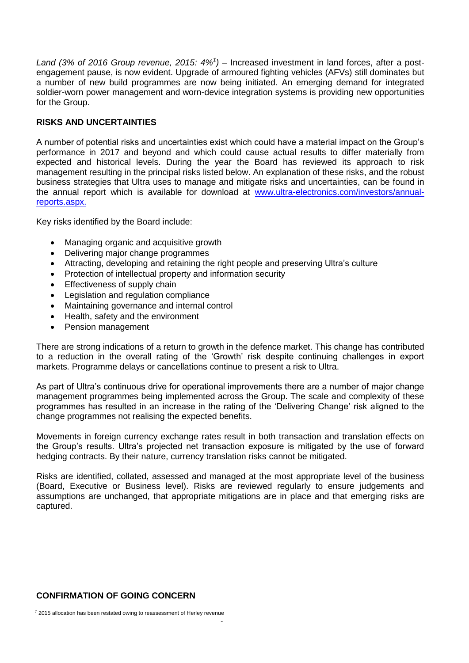Land (3% of 2016 Group revenue, 2015:  $4\frac{a}{b}$ ) – Increased investment in land forces, after a postengagement pause, is now evident. Upgrade of armoured fighting vehicles (AFVs) still dominates but a number of new build programmes are now being initiated. An emerging demand for integrated soldier-worn power management and worn-device integration systems is providing new opportunities for the Group.

#### **RISKS AND UNCERTAINTIES**

A number of potential risks and uncertainties exist which could have a material impact on the Group's performance in 2017 and beyond and which could cause actual results to differ materially from expected and historical levels. During the year the Board has reviewed its approach to risk management resulting in the principal risks listed below. An explanation of these risks, and the robust business strategies that Ultra uses to manage and mitigate risks and uncertainties, can be found in the annual report which is available for download at [www.ultra-electronics.com/investors/annual](http://www.ultra-electronics.com/investors/annual-reports.aspx)[reports.aspx.](http://www.ultra-electronics.com/investors/annual-reports.aspx)

Key risks identified by the Board include:

- Managing organic and acquisitive growth
- Delivering major change programmes
- Attracting, developing and retaining the right people and preserving Ultra's culture
- Protection of intellectual property and information security
- Effectiveness of supply chain
- Legislation and regulation compliance
- Maintaining governance and internal control
- Health, safety and the environment
- Pension management

There are strong indications of a return to growth in the defence market. This change has contributed to a reduction in the overall rating of the 'Growth' risk despite continuing challenges in export markets. Programme delays or cancellations continue to present a risk to Ultra.

As part of Ultra's continuous drive for operational improvements there are a number of major change management programmes being implemented across the Group. The scale and complexity of these programmes has resulted in an increase in the rating of the 'Delivering Change' risk aligned to the change programmes not realising the expected benefits.

Movements in foreign currency exchange rates result in both transaction and translation effects on the Group's results. Ultra's projected net transaction exposure is mitigated by the use of forward hedging contracts. By their nature, currency translation risks cannot be mitigated.

Risks are identified, collated, assessed and managed at the most appropriate level of the business (Board, Executive or Business level). Risks are reviewed regularly to ensure judgements and assumptions are unchanged, that appropriate mitigations are in place and that emerging risks are captured.

#### **CONFIRMATION OF GOING CONCERN**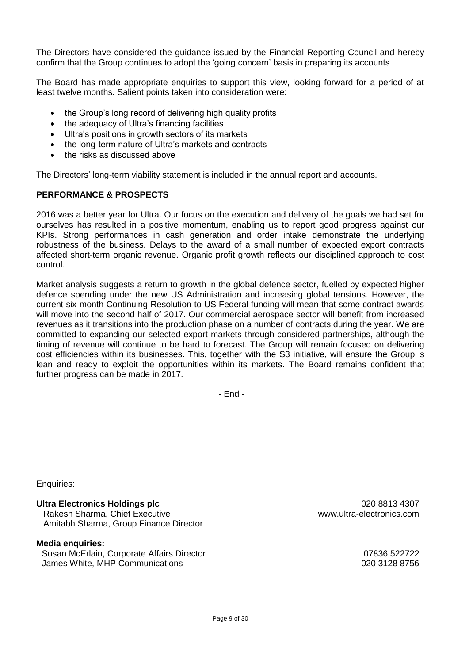The Directors have considered the guidance issued by the Financial Reporting Council and hereby confirm that the Group continues to adopt the 'going concern' basis in preparing its accounts.

The Board has made appropriate enquiries to support this view, looking forward for a period of at least twelve months. Salient points taken into consideration were:

- the Group's long record of delivering high quality profits
- the adequacy of Ultra's financing facilities
- Ultra's positions in growth sectors of its markets
- the long-term nature of Ultra's markets and contracts
- the risks as discussed above

The Directors' long-term viability statement is included in the annual report and accounts.

#### **PERFORMANCE & PROSPECTS**

2016 was a better year for Ultra. Our focus on the execution and delivery of the goals we had set for ourselves has resulted in a positive momentum, enabling us to report good progress against our KPIs. Strong performances in cash generation and order intake demonstrate the underlying robustness of the business. Delays to the award of a small number of expected export contracts affected short-term organic revenue. Organic profit growth reflects our disciplined approach to cost control.

Market analysis suggests a return to growth in the global defence sector, fuelled by expected higher defence spending under the new US Administration and increasing global tensions. However, the current six-month Continuing Resolution to US Federal funding will mean that some contract awards will move into the second half of 2017. Our commercial aerospace sector will benefit from increased revenues as it transitions into the production phase on a number of contracts during the year. We are committed to expanding our selected export markets through considered partnerships, although the timing of revenue will continue to be hard to forecast. The Group will remain focused on delivering cost efficiencies within its businesses. This, together with the S3 initiative, will ensure the Group is lean and ready to exploit the opportunities within its markets. The Board remains confident that further progress can be made in 2017.

- End -

Enquiries:

**Ultra Electronics Holdings plc Development COMPONE 1200 8813 4307** Rakesh Sharma, Chief Executive www.ultra-electronics.com Amitabh Sharma, Group Finance Director

#### **Media enquiries:**

Susan McErlain, Corporate Affairs Director 07836 522722 James White, MHP Communications 020 3128 8756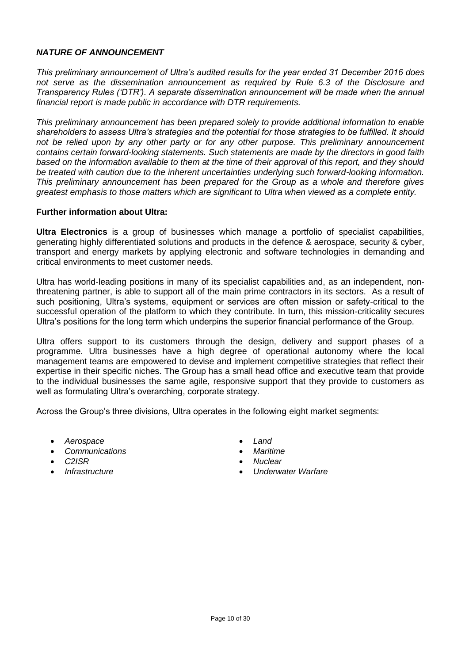#### *NATURE OF ANNOUNCEMENT*

*This preliminary announcement of Ultra's audited results for the year ended 31 December 2016 does not serve as the dissemination announcement as required by Rule 6.3 of the Disclosure and Transparency Rules ('DTR'). A separate dissemination announcement will be made when the annual financial report is made public in accordance with DTR requirements.*

*This preliminary announcement has been prepared solely to provide additional information to enable shareholders to assess Ultra's strategies and the potential for those strategies to be fulfilled. It should not be relied upon by any other party or for any other purpose. This preliminary announcement contains certain forward-looking statements. Such statements are made by the directors in good faith based on the information available to them at the time of their approval of this report, and they should be treated with caution due to the inherent uncertainties underlying such forward-looking information. This preliminary announcement has been prepared for the Group as a whole and therefore gives greatest emphasis to those matters which are significant to Ultra when viewed as a complete entity.*

#### **Further information about Ultra:**

**Ultra Electronics** is a group of businesses which manage a portfolio of specialist capabilities, generating highly differentiated solutions and products in the defence & aerospace, security & cyber, transport and energy markets by applying electronic and software technologies in demanding and critical environments to meet customer needs.

Ultra has world-leading positions in many of its specialist capabilities and, as an independent, nonthreatening partner, is able to support all of the main prime contractors in its sectors. As a result of such positioning, Ultra's systems, equipment or services are often mission or safety-critical to the successful operation of the platform to which they contribute. In turn, this mission-criticality secures Ultra's positions for the long term which underpins the superior financial performance of the Group.

Ultra offers support to its customers through the design, delivery and support phases of a programme. Ultra businesses have a high degree of operational autonomy where the local management teams are empowered to devise and implement competitive strategies that reflect their expertise in their specific niches. The Group has a small head office and executive team that provide to the individual businesses the same agile, responsive support that they provide to customers as well as formulating Ultra's overarching, corporate strategy.

Across the Group's three divisions, Ultra operates in the following eight market segments:

- *Aerospace Land*
- *Communications Maritime*
- 
- 
- 
- 
- *C2ISR Nuclear*
	- *Infrastructure Underwater Warfare*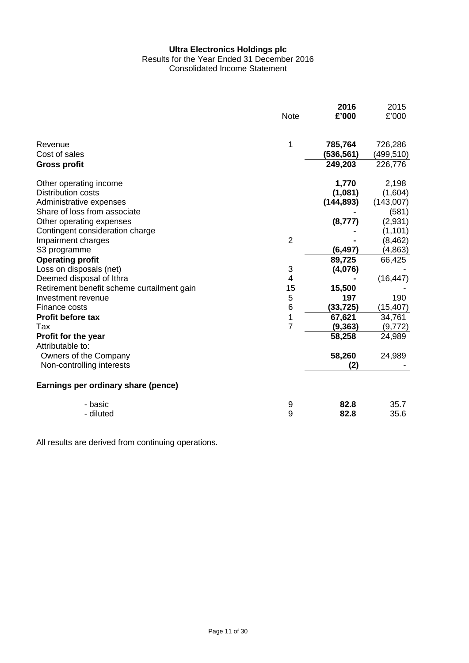#### **Ultra Electronics Holdings plc** Results for the Year Ended 31 December 2016 Consolidated Income Statement

|                                                | <b>Note</b>    | 2016<br>£'000        | 2015<br>£'000        |
|------------------------------------------------|----------------|----------------------|----------------------|
| Revenue                                        | 1              | 785,764              | 726,286              |
| Cost of sales<br><b>Gross profit</b>           |                | (536,561)<br>249,203 | (499,510)<br>226,776 |
|                                                |                |                      |                      |
| Other operating income                         |                | 1,770                | 2,198                |
| Distribution costs                             |                | (1,081)              | (1,604)              |
| Administrative expenses                        |                | (144, 893)           | (143,007)            |
| Share of loss from associate                   |                |                      | (581)                |
| Other operating expenses                       |                | (8,777)              | (2,931)              |
| Contingent consideration charge                |                |                      | (1, 101)             |
| Impairment charges                             | $\overline{2}$ |                      | (8, 462)             |
| S3 programme                                   |                | (6, 497)             | (4, 863)             |
| <b>Operating profit</b>                        |                | 89,725               | 66,425               |
| Loss on disposals (net)                        | 3              | (4,076)              |                      |
| Deemed disposal of Ithra                       | 4              |                      | (16, 447)            |
| Retirement benefit scheme curtailment gain     | 15             | 15,500               |                      |
| Investment revenue                             | 5              | 197                  | 190                  |
| Finance costs                                  | $\,6$          | (33, 725)            | (15, 407)            |
| Profit before tax                              | $\mathbf 1$    | 67,621               | 34,761               |
| Tax                                            | $\overline{7}$ | (9, 363)             | (9, 772)             |
| <b>Profit for the year</b><br>Attributable to: |                | 58,258               | 24,989               |
| Owners of the Company                          |                | 58,260               | 24,989               |
| Non-controlling interests                      |                | (2)                  |                      |
| Earnings per ordinary share (pence)            |                |                      |                      |
| - basic                                        | 9              | 82.8                 | 35.7                 |
| - diluted                                      | 9              | 82.8                 | 35.6                 |

All results are derived from continuing operations.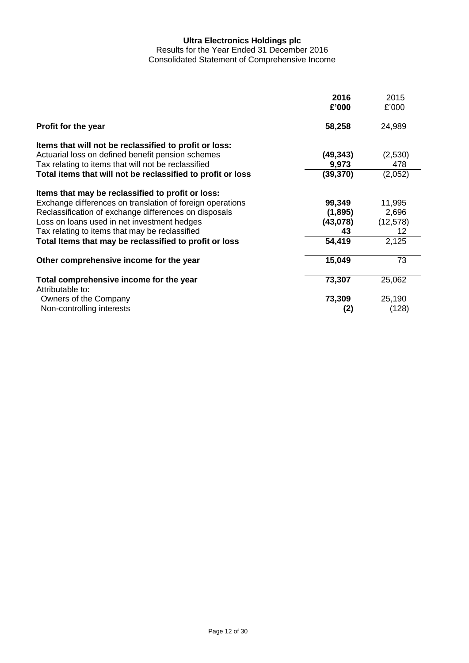Results for the Year Ended 31 December 2016 Consolidated Statement of Comprehensive Income

|                                                             | 2016<br>£'000 | 2015<br>£'000 |
|-------------------------------------------------------------|---------------|---------------|
| Profit for the year                                         | 58,258        | 24,989        |
| Items that will not be reclassified to profit or loss:      |               |               |
| Actuarial loss on defined benefit pension schemes           | (49, 343)     | (2,530)       |
| Tax relating to items that will not be reclassified         | 9,973         | 478           |
| Total items that will not be reclassified to profit or loss | (39, 370)     | (2,052)       |
| Items that may be reclassified to profit or loss:           |               |               |
| Exchange differences on translation of foreign operations   | 99,349        | 11,995        |
| Reclassification of exchange differences on disposals       | (1,895)       | 2,696         |
| Loss on loans used in net investment hedges                 | (43,078)      | (12, 578)     |
| Tax relating to items that may be reclassified              | 43            | 12            |
| Total Items that may be reclassified to profit or loss      | 54,419        | 2,125         |
| Other comprehensive income for the year                     | 15,049        | 73            |
| Total comprehensive income for the year                     | 73,307        | 25,062        |
| Attributable to:                                            |               |               |
| Owners of the Company                                       | 73,309        | 25,190        |
| Non-controlling interests                                   | (2)           | (128)         |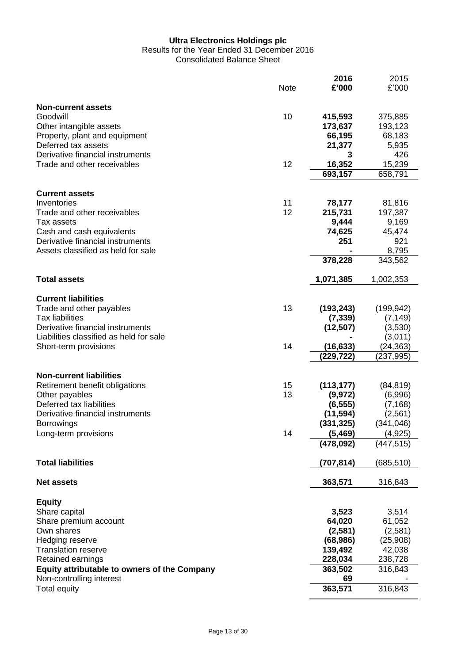Results for the Year Ended 31 December 2016

Consolidated Balance Sheet

|                                                                                 | <b>Note</b> | 2016<br>£'000           | 2015<br>£'000         |
|---------------------------------------------------------------------------------|-------------|-------------------------|-----------------------|
| <b>Non-current assets</b><br>Goodwill<br>Other intangible assets                | 10          | 415,593<br>173,637      | 375,885<br>193,123    |
| Property, plant and equipment<br>Deferred tax assets                            |             | 66,195<br>21,377        | 68,183<br>5,935       |
| Derivative financial instruments<br>Trade and other receivables                 | 12          | 3<br>16,352             | 426<br>15,239         |
|                                                                                 |             | 693,157                 | 658,791               |
| <b>Current assets</b><br>Inventories                                            | 11          | 78,177                  | 81,816                |
| Trade and other receivables<br>Tax assets                                       | 12          | 215,731<br>9,444        | 197,387<br>9,169      |
| Cash and cash equivalents<br>Derivative financial instruments                   |             | 74,625<br>251           | 45,474<br>921         |
| Assets classified as held for sale                                              |             | 378,228                 | 8,795<br>343,562      |
| <b>Total assets</b>                                                             |             | 1,071,385               | 1,002,353             |
| <b>Current liabilities</b>                                                      |             |                         |                       |
| Trade and other payables<br><b>Tax liabilities</b>                              | 13          | (193, 243)<br>(7, 339)  | (199, 942)            |
| Derivative financial instruments                                                |             | (12, 507)               | (7, 149)<br>(3,530)   |
| Liabilities classified as held for sale<br>Short-term provisions                | 14          | (16, 633)               | (3,011)<br>(24, 363)  |
|                                                                                 |             | (229,722)               | (237, 995)            |
| <b>Non-current liabilities</b><br>Retirement benefit obligations                | 15          | (113, 177)              | (84, 819)             |
| Other payables<br>Deferred tax liabilities                                      | 13          | (9, 972)<br>(6, 555)    | (6,996)<br>(7, 168)   |
| Derivative financial instruments<br><b>Borrowings</b>                           |             | (11, 594)<br>(331, 325) | (2,561)<br>(341, 046) |
| Long-term provisions                                                            | 14          | (5,469)                 | (4, 925)              |
|                                                                                 |             | (478,092)               | (447, 515)            |
| <b>Total liabilities</b>                                                        |             | (707,814)               | (685,510)             |
| <b>Net assets</b>                                                               |             | 363,571                 | 316,843               |
| <b>Equity</b><br>Share capital                                                  |             | 3,523                   | 3,514                 |
| Share premium account<br>Own shares                                             |             | 64,020<br>(2,581)       | 61,052<br>(2,581)     |
| Hedging reserve                                                                 |             | (68, 986)               | (25,908)              |
| <b>Translation reserve</b><br>Retained earnings                                 |             | 139,492<br>228,034      | 42,038<br>238,728     |
| <b>Equity attributable to owners of the Company</b><br>Non-controlling interest |             | 363,502<br>69           | 316,843               |
| <b>Total equity</b>                                                             |             | 363,571                 | 316,843               |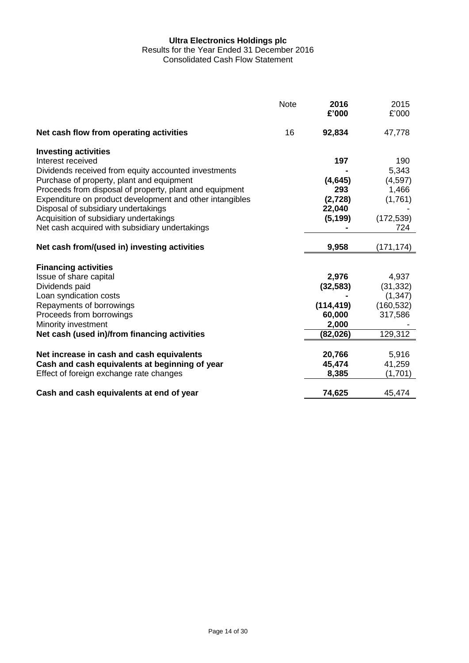Results for the Year Ended 31 December 2016

Consolidated Cash Flow Statement

|                                                          | <b>Note</b> | 2016<br>£'000 | 2015<br>£'000 |
|----------------------------------------------------------|-------------|---------------|---------------|
| Net cash flow from operating activities                  | 16          | 92,834        | 47,778        |
| <b>Investing activities</b>                              |             |               |               |
| Interest received                                        |             | 197           | 190           |
| Dividends received from equity accounted investments     |             |               | 5,343         |
| Purchase of property, plant and equipment                |             | (4, 645)      | (4,597)       |
| Proceeds from disposal of property, plant and equipment  |             | 293           | 1,466         |
| Expenditure on product development and other intangibles |             | (2,728)       | (1,761)       |
| Disposal of subsidiary undertakings                      |             | 22,040        |               |
| Acquisition of subsidiary undertakings                   |             | (5, 199)      | (172, 539)    |
| Net cash acquired with subsidiary undertakings           |             |               | 724           |
| Net cash from/(used in) investing activities             |             | 9,958         | (171, 174)    |
|                                                          |             |               |               |
| <b>Financing activities</b>                              |             |               |               |
| Issue of share capital                                   |             | 2,976         | 4,937         |
| Dividends paid                                           |             | (32, 583)     | (31, 332)     |
| Loan syndication costs                                   |             |               | (1, 347)      |
| Repayments of borrowings                                 |             | (114, 419)    | (160, 532)    |
| Proceeds from borrowings                                 |             | 60,000        | 317,586       |
| Minority investment                                      |             | 2,000         |               |
| Net cash (used in)/from financing activities             |             | (82, 026)     | 129,312       |
| Net increase in cash and cash equivalents                |             | 20,766        | 5,916         |
| Cash and cash equivalents at beginning of year           |             | 45,474        | 41,259        |
| Effect of foreign exchange rate changes                  |             | 8,385         | (1,701)       |
|                                                          |             |               |               |
| Cash and cash equivalents at end of year                 |             | 74,625        | 45,474        |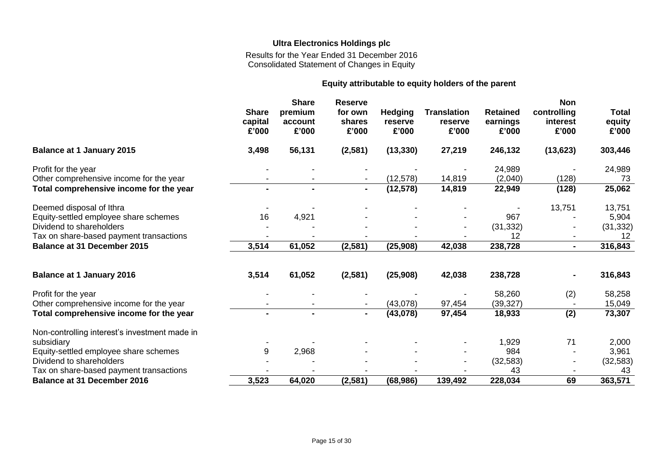Results for the Year Ended 31 December 2016 Consolidated Statement of Changes in Equity

#### **Equity attributable to equity holders of the parent**

|                                               | <b>Share</b><br>capital<br>£'000 | <b>Share</b><br>premium<br>account<br>£'000 | <b>Reserve</b><br>for own<br>shares<br>£'000 | <b>Hedging</b><br>reserve<br>£'000 | <b>Translation</b><br>reserve<br>£'000 | <b>Retained</b><br>earnings<br>£'000 | <b>Non</b><br>controlling<br>interest<br>£'000 | <b>Total</b><br>equity<br>£'000 |
|-----------------------------------------------|----------------------------------|---------------------------------------------|----------------------------------------------|------------------------------------|----------------------------------------|--------------------------------------|------------------------------------------------|---------------------------------|
| <b>Balance at 1 January 2015</b>              | 3,498                            | 56,131                                      | (2,581)                                      | (13, 330)                          | 27,219                                 | 246,132                              | (13, 623)                                      | 303,446                         |
| Profit for the year                           |                                  |                                             |                                              |                                    |                                        | 24,989                               |                                                | 24,989                          |
| Other comprehensive income for the year       |                                  |                                             |                                              | (12, 578)                          | 14,819                                 | (2,040)                              | (128)                                          | 73                              |
| Total comprehensive income for the year       |                                  | $\blacksquare$                              | $\blacksquare$                               | (12, 578)                          | 14,819                                 | 22,949                               | (128)                                          | 25,062                          |
| Deemed disposal of Ithra                      |                                  |                                             |                                              |                                    |                                        |                                      | 13,751                                         | 13,751                          |
| Equity-settled employee share schemes         | 16                               | 4,921                                       |                                              |                                    |                                        | 967                                  |                                                | 5,904                           |
| Dividend to shareholders                      |                                  |                                             |                                              |                                    |                                        | (31, 332)                            |                                                | (31, 332)                       |
| Tax on share-based payment transactions       |                                  |                                             |                                              |                                    |                                        | 12                                   |                                                | 12                              |
| <b>Balance at 31 December 2015</b>            | 3,514                            | 61,052                                      | (2, 581)                                     | (25, 908)                          | 42,038                                 | 238,728                              | $\blacksquare$                                 | 316,843                         |
| <b>Balance at 1 January 2016</b>              | 3,514                            | 61,052                                      | (2,581)                                      | (25,908)                           | 42,038                                 | 238,728                              |                                                | 316,843                         |
| Profit for the year                           |                                  |                                             |                                              |                                    |                                        | 58,260                               | (2)                                            | 58,258                          |
| Other comprehensive income for the year       |                                  |                                             |                                              | (43,078)                           | 97,454                                 | (39, 327)                            |                                                | 15,049                          |
| Total comprehensive income for the year       | $\blacksquare$                   |                                             |                                              | (43,078)                           | 97,454                                 | 18,933                               | (2)                                            | 73,307                          |
| Non-controlling interest's investment made in |                                  |                                             |                                              |                                    |                                        |                                      |                                                |                                 |
| subsidiary                                    |                                  |                                             |                                              |                                    |                                        | 1,929                                | 71                                             | 2,000                           |
| Equity-settled employee share schemes         | 9                                | 2,968                                       |                                              |                                    |                                        | 984                                  |                                                | 3,961                           |
| Dividend to shareholders                      |                                  |                                             |                                              |                                    |                                        | (32, 583)                            | $\blacksquare$                                 | (32, 583)                       |
| Tax on share-based payment transactions       |                                  |                                             |                                              |                                    |                                        | 43                                   |                                                | 43                              |
| <b>Balance at 31 December 2016</b>            | 3,523                            | 64,020                                      | (2, 581)                                     | (68, 986)                          | 139,492                                | 228,034                              | 69                                             | 363,571                         |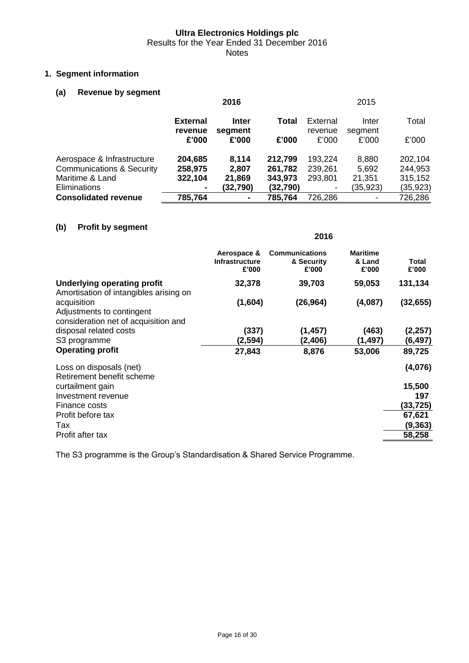Results for the Year Ended 31 December 2016

Notes

#### **1. Segment information**

#### **(a) Revenue by segment**

|                                                         |                    | 2016             |                    |                    | 2015             |                    |
|---------------------------------------------------------|--------------------|------------------|--------------------|--------------------|------------------|--------------------|
|                                                         | <b>External</b>    | Inter            | Total              | External           | Inter            | Total              |
|                                                         | revenue<br>£'000   | segment<br>£'000 | £'000              | revenue<br>£'000   | segment<br>£'000 | £'000              |
| Aerospace & Infrastructure                              | 204,685            | 8,114            | 212,799            | 193,224            | 8,880            | 202,104            |
| <b>Communications &amp; Security</b><br>Maritime & Land | 258,975<br>322,104 | 2,807<br>21,869  | 261,782<br>343,973 | 239,261<br>293,801 | 5,692<br>21,351  | 244,953<br>315,152 |
| Eliminations                                            | ۰                  | (32, 790)        | (32, 790)          | ۰.                 | (35,923)         | (35, 923)          |
| <b>Consolidated revenue</b>                             | 785,764            | ٠                | 785,764            | 726,286            | ۰                | 726,286            |

#### **(b) Profit by segment**

|                                                                                  | 2016                                          |                                              |                                    |                |
|----------------------------------------------------------------------------------|-----------------------------------------------|----------------------------------------------|------------------------------------|----------------|
|                                                                                  | Aerospace &<br><b>Infrastructure</b><br>£'000 | <b>Communications</b><br>& Security<br>£'000 | <b>Maritime</b><br>& Land<br>£'000 | Total<br>£'000 |
| <b>Underlying operating profit</b><br>Amortisation of intangibles arising on     | 32,378                                        | 39,703                                       | 59,053                             | 131,134        |
| acquisition<br>Adjustments to contingent<br>consideration net of acquisition and | (1,604)                                       | (26, 964)                                    | (4,087)                            | (32, 655)      |
| disposal related costs                                                           | (337)                                         | (1, 457)                                     | (463)                              | (2,257)        |
| S3 programme                                                                     | (2,594)                                       | (2, 406)                                     | (1, 497)                           | (6,497)        |
| <b>Operating profit</b>                                                          | 27,843                                        | 8,876                                        | 53,006                             | 89,725         |
| Loss on disposals (net)<br>Retirement benefit scheme                             |                                               |                                              |                                    | (4,076)        |
| curtailment gain                                                                 |                                               |                                              |                                    | 15,500         |
| Investment revenue                                                               |                                               |                                              |                                    | 197            |
| Finance costs                                                                    |                                               |                                              |                                    | (33, 725)      |
| Profit before tax                                                                |                                               |                                              |                                    | 67,621         |
| Tax                                                                              |                                               |                                              |                                    | (9, 363)       |
| Profit after tax                                                                 |                                               |                                              |                                    | 58,258         |

The S3 programme is the Group's Standardisation & Shared Service Programme.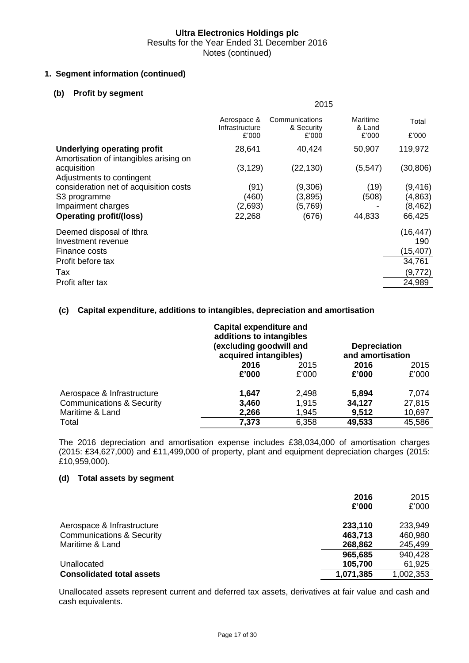#### **1. Segment information (continued)**

#### **(b) Profit by segment**

| 2015                                   |                                       |                             |                 |
|----------------------------------------|---------------------------------------|-----------------------------|-----------------|
| Aerospace &<br>Infrastructure<br>£'000 | Communications<br>& Security<br>£'000 | Maritime<br>& Land<br>£'000 | Total<br>£'000  |
| 28,641                                 | 40,424                                | 50,907                      | 119,972         |
| (3, 129)                               | (22, 130)                             | (5, 547)                    | (30, 806)       |
| (91)                                   | (9,306)                               | (19)                        | (9, 416)        |
|                                        |                                       |                             | (4, 863)        |
|                                        |                                       |                             | (8, 462)        |
|                                        |                                       |                             | 66,425          |
|                                        |                                       |                             | (16, 447)       |
|                                        |                                       |                             | 190             |
|                                        |                                       |                             | (15, 407)       |
|                                        |                                       |                             | 34,761          |
|                                        |                                       |                             | (9, 772)        |
|                                        |                                       |                             | 24,989          |
|                                        | (460)<br>(2,693)<br>22,268            | (3,895)<br>(5,769)<br>(676) | (508)<br>44,833 |

#### **(c) Capital expenditure, additions to intangibles, depreciation and amortisation**

|                                      |       | <b>Capital expenditure and</b><br>additions to intangibles<br>(excluding goodwill and<br>acquired intangibles) |        | <b>Depreciation</b><br>and amortisation |
|--------------------------------------|-------|----------------------------------------------------------------------------------------------------------------|--------|-----------------------------------------|
|                                      | 2016  | 2015                                                                                                           | 2016   | 2015                                    |
|                                      | £'000 | £'000                                                                                                          | £'000  | £'000                                   |
| Aerospace & Infrastructure           | 1.647 | 2,498                                                                                                          | 5,894  | 7,074                                   |
| <b>Communications &amp; Security</b> | 3,460 | 1,915                                                                                                          | 34,127 | 27,815                                  |
| Maritime & Land                      | 2,266 | 1,945                                                                                                          | 9,512  | 10,697                                  |
| Total                                | 7,373 | 6,358                                                                                                          | 49,533 | 45,586                                  |

The 2016 depreciation and amortisation expense includes £38,034,000 of amortisation charges (2015: £34,627,000) and £11,499,000 of property, plant and equipment depreciation charges (2015: £10,959,000).

#### **(d) Total assets by segment**

|                                                                    | 2016<br>£'000      | 2015<br>£'000      |
|--------------------------------------------------------------------|--------------------|--------------------|
| Aerospace & Infrastructure<br><b>Communications &amp; Security</b> | 233,110<br>463,713 | 233,949<br>460,980 |
| Maritime & Land                                                    | 268,862            | 245,499            |
| Unallocated                                                        | 965,685<br>105,700 | 940,428<br>61,925  |
| <b>Consolidated total assets</b>                                   | 1,071,385          | 1,002,353          |

Unallocated assets represent current and deferred tax assets, derivatives at fair value and cash and cash equivalents.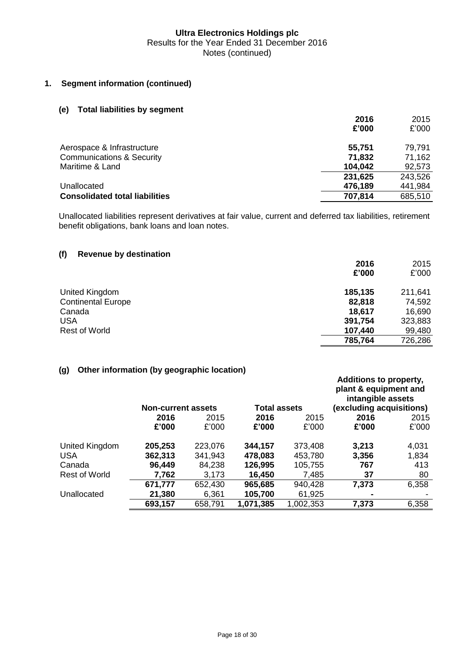#### **1. Segment information (continued)**

#### **(e) Total liabilities by segment**

|                                       | 2016    | 2015    |
|---------------------------------------|---------|---------|
|                                       | £'000   | £'000   |
| Aerospace & Infrastructure            | 55,751  | 79,791  |
| <b>Communications &amp; Security</b>  | 71,832  | 71,162  |
| Maritime & Land                       | 104,042 | 92,573  |
|                                       | 231,625 | 243,526 |
| Unallocated                           | 476,189 | 441,984 |
| <b>Consolidated total liabilities</b> | 707,814 | 685,510 |

Unallocated liabilities represent derivatives at fair value, current and deferred tax liabilities, retirement benefit obligations, bank loans and loan notes.

#### **(f) Revenue by destination**

|                           | 2016    | 2015    |
|---------------------------|---------|---------|
|                           | £'000   | £'000   |
| United Kingdom            | 185,135 | 211,641 |
| <b>Continental Europe</b> | 82,818  | 74,592  |
| Canada                    | 18,617  | 16,690  |
| USA                       | 391,754 | 323,883 |
| <b>Rest of World</b>      | 107,440 | 99,480  |
|                           | 785,764 | 726,286 |

#### **(g) Other information (by geographic location)**

|                | <b>Non-current assets</b> |         | <b>Total assets</b> |           | <b>Additions to property,</b><br>plant & equipment and<br>intangible assets<br>(excluding acquisitions) |       |
|----------------|---------------------------|---------|---------------------|-----------|---------------------------------------------------------------------------------------------------------|-------|
|                | 2016                      | 2015    | 2016                | 2015      | 2016                                                                                                    | 2015  |
|                | £'000                     | £'000   | £'000               | £'000     | £'000                                                                                                   | £'000 |
| United Kingdom | 205,253                   | 223,076 | 344,157             | 373,408   | 3,213                                                                                                   | 4,031 |
| <b>USA</b>     | 362,313                   | 341,943 | 478,083             | 453,780   | 3,356                                                                                                   | 1,834 |
| Canada         | 96,449                    | 84,238  | 126,995             | 105,755   | 767                                                                                                     | 413   |
| Rest of World  | 7,762                     | 3,173   | 16,450              | 7,485     | 37                                                                                                      | 80    |
|                | 671,777                   | 652,430 | 965,685             | 940,428   | 7,373                                                                                                   | 6,358 |
| Unallocated    | 21,380                    | 6,361   | 105,700             | 61,925    | ۰                                                                                                       |       |
|                | 693,157                   | 658,791 | 1,071,385           | 1,002,353 | 7,373                                                                                                   | 6,358 |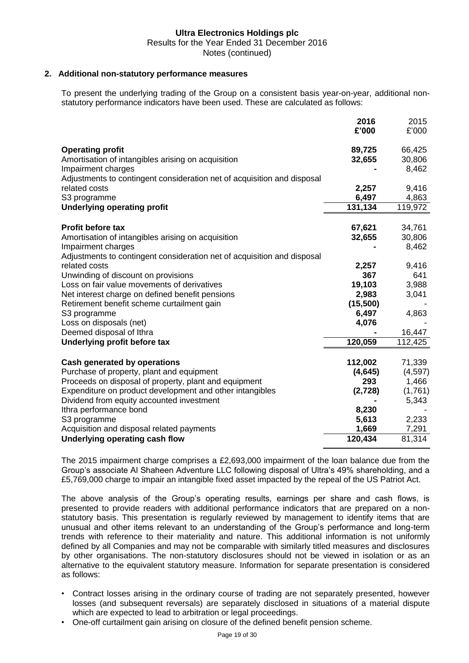#### **2. Additional non-statutory performance measures**

To present the underlying trading of the Group on a consistent basis year-on-year, additional nonstatutory performance indicators have been used. These are calculated as follows:

|                                                                                                                                 | 2016<br>£'000     | 2015<br>£'000             |
|---------------------------------------------------------------------------------------------------------------------------------|-------------------|---------------------------|
| <b>Operating profit</b><br>Amortisation of intangibles arising on acquisition<br>Impairment charges                             | 89,725<br>32,655  | 66,425<br>30,806<br>8,462 |
| Adjustments to contingent consideration net of acquisition and disposal<br>related costs<br>S3 programme                        | 2,257<br>6,497    | 9,416<br>4,863            |
| <b>Underlying operating profit</b>                                                                                              | 131,134           | 119,972                   |
| <b>Profit before tax</b><br>Amortisation of intangibles arising on acquisition<br>Impairment charges                            | 67,621<br>32,655  | 34,761<br>30,806<br>8,462 |
| Adjustments to contingent consideration net of acquisition and disposal<br>related costs<br>Unwinding of discount on provisions | 2,257<br>367      | 9,416<br>641              |
| Loss on fair value movements of derivatives<br>Net interest charge on defined benefit pensions                                  | 19,103<br>2,983   | 3,988<br>3,041            |
| Retirement benefit scheme curtailment gain<br>S3 programme                                                                      | (15,500)<br>6,497 | 4,863                     |
| Loss on disposals (net)<br>Deemed disposal of Ithra                                                                             | 4,076             | 16,447                    |
| Underlying profit before tax                                                                                                    | 120,059           | 112,425                   |
| <b>Cash generated by operations</b>                                                                                             | 112,002           | 71,339                    |
| Purchase of property, plant and equipment<br>Proceeds on disposal of property, plant and equipment                              | (4,645)<br>293    | (4,597)<br>1,466          |
| Expenditure on product development and other intangibles                                                                        | (2,728)           | (1,761)                   |
| Dividend from equity accounted investment<br>Ithra performance bond                                                             | 8,230             | 5,343                     |
| S3 programme                                                                                                                    | 5,613             | 2,233                     |
| Acquisition and disposal related payments                                                                                       | 1,669<br>120,434  | 7,291<br>81,314           |
| Underlying operating cash flow                                                                                                  |                   |                           |

The 2015 impairment charge comprises a £2,693,000 impairment of the loan balance due from the Group's associate Al Shaheen Adventure LLC following disposal of Ultra's 49% shareholding, and a £5,769,000 charge to impair an intangible fixed asset impacted by the repeal of the US Patriot Act.

The above analysis of the Group's operating results, earnings per share and cash flows, is presented to provide readers with additional performance indicators that are prepared on a nonstatutory basis. This presentation is regularly reviewed by management to identify items that are unusual and other items relevant to an understanding of the Group's performance and long-term trends with reference to their materiality and nature. This additional information is not uniformly defined by all Companies and may not be comparable with similarly titled measures and disclosures by other organisations. The non-statutory disclosures should not be viewed in isolation or as an alternative to the equivalent statutory measure. Information for separate presentation is considered as follows:

- Contract losses arising in the ordinary course of trading are not separately presented, however losses (and subsequent reversals) are separately disclosed in situations of a material dispute which are expected to lead to arbitration or legal proceedings.
- One-off curtailment gain arising on closure of the defined benefit pension scheme.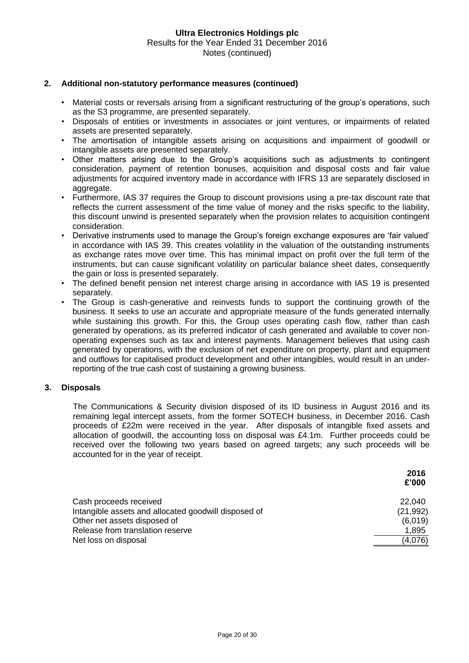#### **2. Additional non-statutory performance measures (continued)**

- Material costs or reversals arising from a significant restructuring of the group's operations, such as the S3 programme, are presented separately.
- Disposals of entities or investments in associates or joint ventures, or impairments of related assets are presented separately.
- The amortisation of intangible assets arising on acquisitions and impairment of goodwill or intangible assets are presented separately.
- Other matters arising due to the Group's acquisitions such as adjustments to contingent consideration, payment of retention bonuses, acquisition and disposal costs and fair value adjustments for acquired inventory made in accordance with IFRS 13 are separately disclosed in aggregate.
- Furthermore, IAS 37 requires the Group to discount provisions using a pre-tax discount rate that reflects the current assessment of the time value of money and the risks specific to the liability, this discount unwind is presented separately when the provision relates to acquisition contingent consideration.
- Derivative instruments used to manage the Group's foreign exchange exposures are 'fair valued' in accordance with IAS 39. This creates volatility in the valuation of the outstanding instruments as exchange rates move over time. This has minimal impact on profit over the full term of the instruments, but can cause significant volatility on particular balance sheet dates, consequently the gain or loss is presented separately.
- The defined benefit pension net interest charge arising in accordance with IAS 19 is presented separately.
- The Group is cash-generative and reinvests funds to support the continuing growth of the business. It seeks to use an accurate and appropriate measure of the funds generated internally while sustaining this growth. For this, the Group uses operating cash flow, rather than cash generated by operations, as its preferred indicator of cash generated and available to cover nonoperating expenses such as tax and interest payments. Management believes that using cash generated by operations, with the exclusion of net expenditure on property, plant and equipment and outflows for capitalised product development and other intangibles, would result in an underreporting of the true cash cost of sustaining a growing business.

#### **3. Disposals**

The Communications & Security division disposed of its ID business in August 2016 and its remaining legal intercept assets, from the former SOTECH business, in December 2016. Cash proceeds of £22m were received in the year. After disposals of intangible fixed assets and allocation of goodwill, the accounting loss on disposal was £4.1m. Further proceeds could be received over the following two years based on agreed targets; any such proceeds will be accounted for in the year of receipt.

|                                                      | 2016<br>£'000 |
|------------------------------------------------------|---------------|
| Cash proceeds received                               | 22,040        |
| Intangible assets and allocated goodwill disposed of | (21, 992)     |
| Other net assets disposed of                         | (6,019)       |
| Release from translation reserve                     | 1,895         |
| Net loss on disposal                                 | (4,076)       |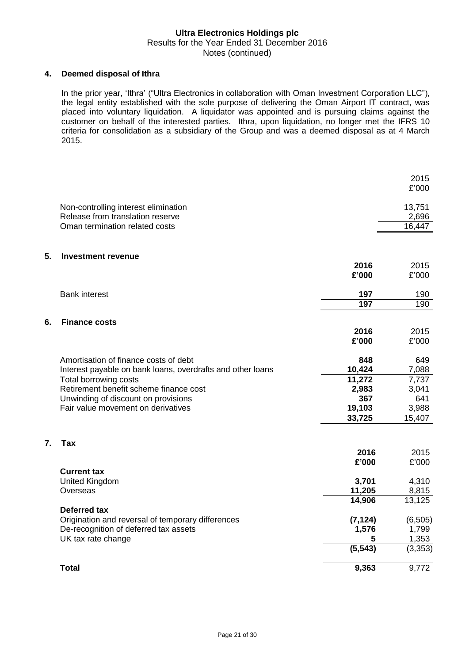#### **4. Deemed disposal of Ithra**

In the prior year, 'Ithra' ("Ultra Electronics in collaboration with Oman Investment Corporation LLC"), the legal entity established with the sole purpose of delivering the Oman Airport IT contract, was placed into voluntary liquidation. A liquidator was appointed and is pursuing claims against the customer on behalf of the interested parties. Ithra, upon liquidation, no longer met the IFRS 10 criteria for consolidation as a subsidiary of the Group and was a deemed disposal as at 4 March 2015.

|                  |                                                                                                                  |                        | 2015<br>£'000              |
|------------------|------------------------------------------------------------------------------------------------------------------|------------------------|----------------------------|
|                  | Non-controlling interest elimination<br>Release from translation reserve<br>Oman termination related costs       |                        | 13,751<br>2,696<br>16,447  |
| 5.               | <b>Investment revenue</b>                                                                                        |                        |                            |
|                  |                                                                                                                  | 2016<br>£'000          | 2015<br>£'000              |
|                  | <b>Bank interest</b>                                                                                             | 197<br>197             | 190<br>190                 |
| 6.               | <b>Finance costs</b>                                                                                             | 2016                   | 2015                       |
|                  |                                                                                                                  | £'000                  | £'000                      |
|                  | Amortisation of finance costs of debt<br>Interest payable on bank loans, overdrafts and other loans              | 848<br>10,424          | 649<br>7,088               |
|                  | Total borrowing costs<br>Retirement benefit scheme finance cost<br>Unwinding of discount on provisions           | 11,272<br>2,983<br>367 | 7,737<br>3,041<br>641      |
|                  | Fair value movement on derivatives                                                                               | 19,103<br>33,725       | 3,988<br>15,407            |
| $\overline{7}$ . | Tax                                                                                                              |                        |                            |
|                  |                                                                                                                  | 2016<br>£'000          | 2015<br>£'000              |
|                  | <b>Current tax</b><br><b>United Kingdom</b><br>Overseas                                                          | 3,701<br>11,205        | 4,310<br>8,815             |
|                  | Deferred tax                                                                                                     | 14,906                 | 13,125                     |
|                  | Origination and reversal of temporary differences<br>De-recognition of deferred tax assets<br>UK tax rate change | (7, 124)<br>1,576<br>5 | (6, 505)<br>1,799<br>1,353 |
|                  |                                                                                                                  | (5, 543)               | (3, 353)                   |
|                  | <b>Total</b>                                                                                                     | 9,363                  | 9,772                      |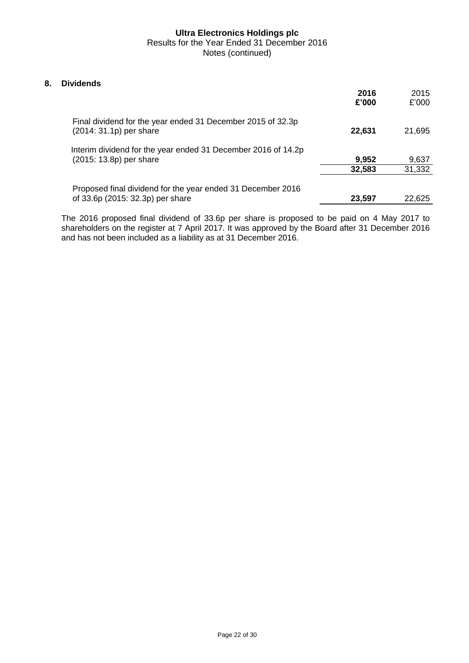#### **8. Dividends**

|                                                                                                 | 2016<br>£'000 | 2015<br>£'000 |
|-------------------------------------------------------------------------------------------------|---------------|---------------|
| Final dividend for the year ended 31 December 2015 of 32.3p<br>(2014: 31.1p) per share          | 22,631        | 21,695        |
| Interim dividend for the year ended 31 December 2016 of 14.2p<br>(2015: 13.8p) per share        | 9,952         | 9,637         |
|                                                                                                 | 32,583        | 31,332        |
| Proposed final dividend for the year ended 31 December 2016<br>of 33.6p (2015: 32.3p) per share | 23,597        | 22,625        |

The 2016 proposed final dividend of 33.6p per share is proposed to be paid on 4 May 2017 to shareholders on the register at 7 April 2017. It was approved by the Board after 31 December 2016 and has not been included as a liability as at 31 December 2016.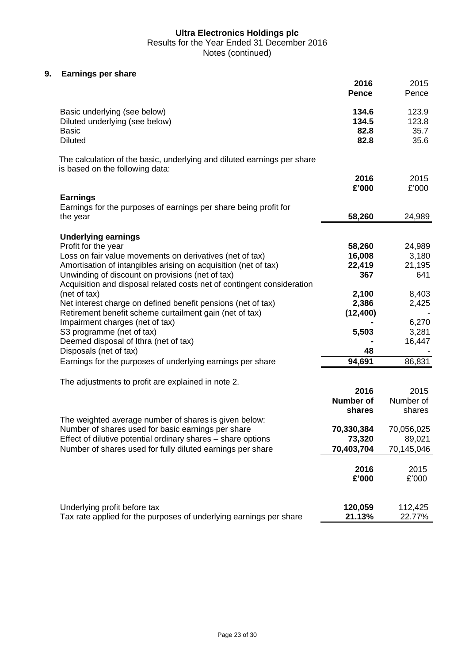Results for the Year Ended 31 December 2016

Notes (continued)

#### **9. Earnings per share**

|                                                                                                            | 2016<br><b>Pence</b> | 2015<br>Pence     |
|------------------------------------------------------------------------------------------------------------|----------------------|-------------------|
| Basic underlying (see below)                                                                               | 134.6                | 123.9             |
| Diluted underlying (see below)                                                                             | 134.5                | 123.8             |
| <b>Basic</b>                                                                                               | 82.8                 | 35.7              |
| <b>Diluted</b>                                                                                             | 82.8                 | 35.6              |
| The calculation of the basic, underlying and diluted earnings per share<br>is based on the following data: |                      |                   |
|                                                                                                            | 2016                 | 2015              |
|                                                                                                            | £'000                | £'000             |
| <b>Earnings</b><br>Earnings for the purposes of earnings per share being profit for                        |                      |                   |
| the year                                                                                                   | 58,260               | 24,989            |
|                                                                                                            |                      |                   |
| <b>Underlying earnings</b>                                                                                 |                      |                   |
| Profit for the year                                                                                        | 58,260               | 24,989            |
| Loss on fair value movements on derivatives (net of tax)                                                   | 16,008               | 3,180             |
| Amortisation of intangibles arising on acquisition (net of tax)                                            | 22,419               | 21,195            |
| Unwinding of discount on provisions (net of tax)                                                           | 367                  | 641               |
| Acquisition and disposal related costs net of contingent consideration<br>(net of tax)                     | 2,100                | 8,403             |
| Net interest charge on defined benefit pensions (net of tax)                                               | 2,386                | 2,425             |
| Retirement benefit scheme curtailment gain (net of tax)                                                    | (12, 400)            |                   |
| Impairment charges (net of tax)                                                                            |                      | 6,270             |
| S3 programme (net of tax)                                                                                  | 5,503                | 3,281             |
| Deemed disposal of Ithra (net of tax)                                                                      |                      | 16,447            |
| Disposals (net of tax)                                                                                     | 48                   |                   |
| Earnings for the purposes of underlying earnings per share                                                 | 94,691               | 86,831            |
| The adjustments to profit are explained in note 2.                                                         |                      |                   |
|                                                                                                            | 2016                 | 2015              |
|                                                                                                            | <b>Number of</b>     | Number of         |
|                                                                                                            | shares               | shares            |
| The weighted average number of shares is given below:                                                      |                      |                   |
| Number of shares used for basic earnings per share                                                         | 70,330,384           | 70,056,025        |
| Effect of dilutive potential ordinary shares - share options                                               | 73,320               | 89,021            |
| Number of shares used for fully diluted earnings per share                                                 | 70,403,704           | 70,145,046        |
|                                                                                                            |                      |                   |
|                                                                                                            | 2016                 | 2015              |
|                                                                                                            | £'000                | £'000             |
|                                                                                                            |                      |                   |
| Underlying profit before tax<br>Tax rate applied for the purposes of underlying earnings per share         | 120,059<br>21.13%    | 112,425<br>22.77% |
|                                                                                                            |                      |                   |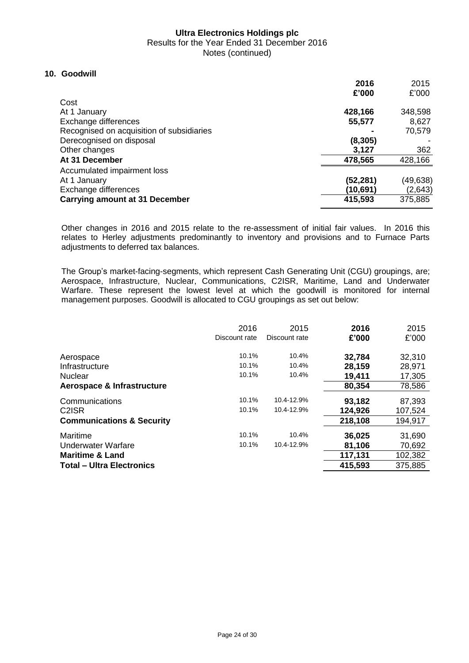Results for the Year Ended 31 December 2016

Notes (continued)

#### **10. Goodwill**

|                                           | 2016     | 2015     |
|-------------------------------------------|----------|----------|
| Cost                                      | £'000    | £'000    |
| At 1 January                              | 428,166  | 348,598  |
|                                           |          |          |
| Exchange differences                      | 55,577   | 8,627    |
| Recognised on acquisition of subsidiaries |          | 70,579   |
| Derecognised on disposal                  | (8, 305) |          |
| Other changes                             | 3,127    | 362      |
| At 31 December                            | 478,565  | 428,166  |
| Accumulated impairment loss               |          |          |
| At 1 January                              | (52,281) | (49,638) |
| Exchange differences                      | (10,691) | (2,643)  |
| <b>Carrying amount at 31 December</b>     | 415,593  | 375,885  |

Other changes in 2016 and 2015 relate to the re-assessment of initial fair values. In 2016 this relates to Herley adjustments predominantly to inventory and provisions and to Furnace Parts adjustments to deferred tax balances.

The Group's market-facing-segments, which represent Cash Generating Unit (CGU) groupings, are; Aerospace, Infrastructure, Nuclear, Communications, C2ISR, Maritime, Land and Underwater Warfare. These represent the lowest level at which the goodwill is monitored for internal management purposes. Goodwill is allocated to CGU groupings as set out below:

|                                      | 2016<br>Discount rate | 2015<br>Discount rate | 2016<br>£'000 | 2015<br>£'000 |
|--------------------------------------|-----------------------|-----------------------|---------------|---------------|
| Aerospace                            | 10.1%                 | 10.4%                 | 32,784        | 32,310        |
| Infrastructure                       | 10.1%                 | 10.4%                 | 28,159        | 28,971        |
| <b>Nuclear</b>                       | 10.1%                 | 10.4%                 | 19,411        | 17,305        |
| Aerospace & Infrastructure           |                       |                       | 80,354        | 78,586        |
| Communications                       | 10.1%                 | 10.4-12.9%            | 93,182        | 87,393        |
| C <sub>2</sub> ISR                   | 10.1%                 | 10.4-12.9%            | 124,926       | 107,524       |
| <b>Communications &amp; Security</b> |                       |                       | 218,108       | 194,917       |
| Maritime                             | 10.1%                 | 10.4%                 | 36,025        | 31,690        |
| Underwater Warfare                   | 10.1%                 | 10.4-12.9%            | 81,106        | 70,692        |
| <b>Maritime &amp; Land</b>           |                       |                       | 117,131       | 102,382       |
| <b>Total - Ultra Electronics</b>     |                       |                       | 415,593       | 375,885       |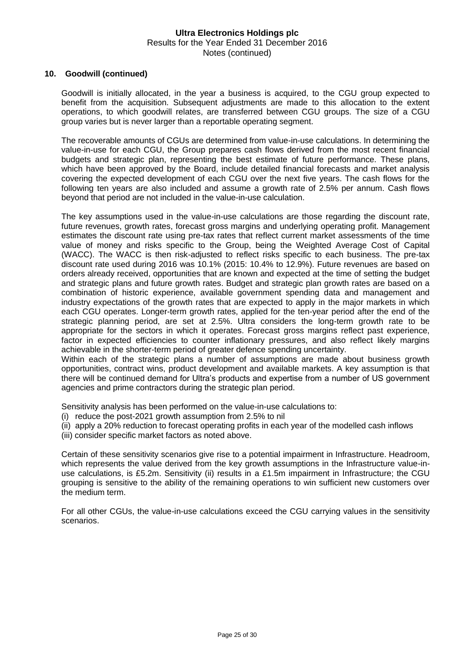#### **10. Goodwill (continued)**

Goodwill is initially allocated, in the year a business is acquired, to the CGU group expected to benefit from the acquisition. Subsequent adjustments are made to this allocation to the extent operations, to which goodwill relates, are transferred between CGU groups. The size of a CGU group varies but is never larger than a reportable operating segment.

The recoverable amounts of CGUs are determined from value-in-use calculations. In determining the value-in-use for each CGU, the Group prepares cash flows derived from the most recent financial budgets and strategic plan, representing the best estimate of future performance. These plans, which have been approved by the Board, include detailed financial forecasts and market analysis covering the expected development of each CGU over the next five years. The cash flows for the following ten years are also included and assume a growth rate of 2.5% per annum. Cash flows beyond that period are not included in the value-in-use calculation.

The key assumptions used in the value-in-use calculations are those regarding the discount rate, future revenues, growth rates, forecast gross margins and underlying operating profit. Management estimates the discount rate using pre-tax rates that reflect current market assessments of the time value of money and risks specific to the Group, being the Weighted Average Cost of Capital (WACC). The WACC is then risk-adjusted to reflect risks specific to each business. The pre-tax discount rate used during 2016 was 10.1% (2015: 10.4% to 12.9%). Future revenues are based on orders already received, opportunities that are known and expected at the time of setting the budget and strategic plans and future growth rates. Budget and strategic plan growth rates are based on a combination of historic experience, available government spending data and management and industry expectations of the growth rates that are expected to apply in the major markets in which each CGU operates. Longer-term growth rates, applied for the ten-year period after the end of the strategic planning period, are set at 2.5%. Ultra considers the long-term growth rate to be appropriate for the sectors in which it operates. Forecast gross margins reflect past experience, factor in expected efficiencies to counter inflationary pressures, and also reflect likely margins achievable in the shorter-term period of greater defence spending uncertainty.

Within each of the strategic plans a number of assumptions are made about business growth opportunities, contract wins, product development and available markets. A key assumption is that there will be continued demand for Ultra's products and expertise from a number of US government agencies and prime contractors during the strategic plan period.

Sensitivity analysis has been performed on the value-in-use calculations to:

- (i) reduce the post-2021 growth assumption from 2.5% to nil
- (ii) apply a 20% reduction to forecast operating profits in each year of the modelled cash inflows
- (iii) consider specific market factors as noted above.

Certain of these sensitivity scenarios give rise to a potential impairment in Infrastructure. Headroom, which represents the value derived from the key growth assumptions in the Infrastructure value-inuse calculations, is £5.2m. Sensitivity (ii) results in a £1.5m impairment in Infrastructure; the CGU grouping is sensitive to the ability of the remaining operations to win sufficient new customers over the medium term.

For all other CGUs, the value-in-use calculations exceed the CGU carrying values in the sensitivity scenarios.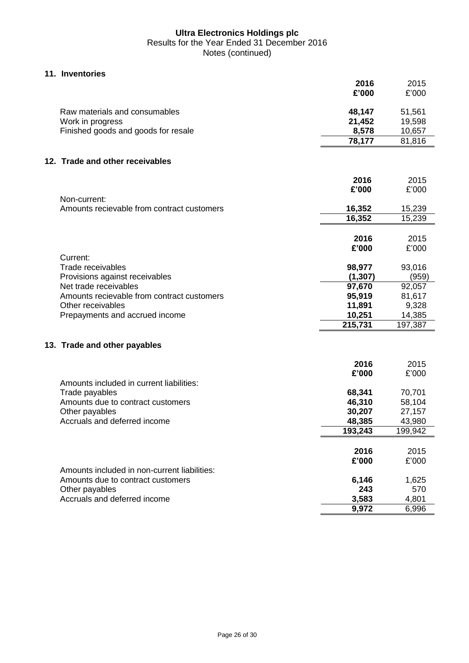#### **11. Inventories**

|                                              | 2016<br>£'000 | 2015<br>£'000 |
|----------------------------------------------|---------------|---------------|
| Raw materials and consumables                | 48,147        | 51,561        |
| Work in progress                             | 21,452        | 19,598        |
| Finished goods and goods for resale          | 8,578         | 10,657        |
|                                              | 78,177        | 81,816        |
| 12. Trade and other receivables              |               |               |
|                                              | 2016          | 2015          |
|                                              | £'000         | £'000         |
| Non-current:                                 |               |               |
| Amounts recievable from contract customers   | 16,352        | 15,239        |
|                                              | 16,352        | 15,239        |
|                                              |               |               |
|                                              | 2016          | 2015          |
|                                              | £'000         | £'000         |
| Current:                                     |               |               |
| Trade receivables                            | 98,977        | 93,016        |
| Provisions against receivables               | (1, 307)      | (959)         |
| Net trade receivables                        | 97,670        | 92,057        |
| Amounts recievable from contract customers   | 95,919        | 81,617        |
| Other receivables                            | 11,891        | 9,328         |
| Prepayments and accrued income               | 10,251        | 14,385        |
|                                              | 215,731       | 197,387       |
| 13. Trade and other payables                 |               |               |
|                                              | 2016          | 2015          |
|                                              | £'000         | £'000         |
| Amounts included in current liabilities:     |               |               |
| Trade payables                               | 68,341        | 70,701        |
| Amounts due to contract customers            | 46,310        | 58,104        |
| Other payables                               | 30,207        | 27,157        |
| Accruals and deferred income                 | 48,385        | 43,980        |
|                                              | 193,243       | 199,942       |
|                                              |               |               |
|                                              | 2016          | 2015          |
|                                              | £'000         | £'000         |
| Amounts included in non-current liabilities: |               |               |
| Amounts due to contract customers            | 6,146         | 1,625         |
| Other payables                               | 243           | 570           |
| Accruals and deferred income                 | 3,583         | 4,801         |
|                                              | 9,972         | 6,996         |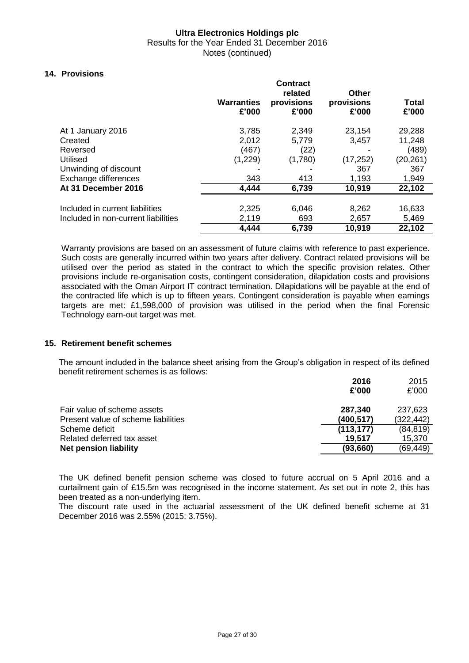Results for the Year Ended 31 December 2016 Notes (continued)

#### **14. Provisions**

|                                     | <b>Warranties</b><br>£'000 | <b>Contract</b><br>related<br>provisions<br>£'000 | <b>Other</b><br>provisions<br>£'000 | <b>Total</b><br>£'000 |
|-------------------------------------|----------------------------|---------------------------------------------------|-------------------------------------|-----------------------|
| At 1 January 2016                   | 3,785                      | 2,349                                             | 23,154                              | 29,288                |
| Created                             | 2,012                      | 5,779                                             | 3,457                               | 11,248                |
| Reversed                            | (467)                      | (22)                                              |                                     | (489)                 |
| <b>Utilised</b>                     | (1,229)                    | (1,780)                                           | (17, 252)                           | (20,261)              |
| Unwinding of discount               |                            |                                                   | 367                                 | 367                   |
| Exchange differences                | 343                        | 413                                               | 1,193                               | 1,949                 |
| At 31 December 2016                 | 4,444                      | 6,739                                             | 10,919                              | 22,102                |
|                                     |                            |                                                   |                                     |                       |
| Included in current liabilities     | 2,325                      | 6,046                                             | 8,262                               | 16,633                |
| Included in non-current liabilities | 2,119                      | 693                                               | 2,657                               | 5,469                 |
|                                     | 4,444                      | 6,739                                             | 10,919                              | 22,102                |

Warranty provisions are based on an assessment of future claims with reference to past experience. Such costs are generally incurred within two years after delivery. Contract related provisions will be utilised over the period as stated in the contract to which the specific provision relates. Other provisions include re-organisation costs, contingent consideration, dilapidation costs and provisions associated with the Oman Airport IT contract termination. Dilapidations will be payable at the end of the contracted life which is up to fifteen years. Contingent consideration is payable when earnings targets are met: £1,598,000 of provision was utilised in the period when the final Forensic Technology earn-out target was met.

#### **15. Retirement benefit schemes**

The amount included in the balance sheet arising from the Group's obligation in respect of its defined benefit retirement schemes is as follows:

|                                     | 2016<br>£'000 | 2015<br>£'000 |
|-------------------------------------|---------------|---------------|
|                                     |               |               |
| Fair value of scheme assets         | 287,340       | 237,623       |
| Present value of scheme liabilities | (400, 517)    | (322, 442)    |
| Scheme deficit                      | (113, 177)    | (84, 819)     |
| Related deferred tax asset          | 19.517        | 15.370        |
| <b>Net pension liability</b>        | (93, 660)     | (69, 449)     |

The UK defined benefit pension scheme was closed to future accrual on 5 April 2016 and a curtailment gain of £15.5m was recognised in the income statement. As set out in note 2, this has been treated as a non-underlying item.

The discount rate used in the actuarial assessment of the UK defined benefit scheme at 31 December 2016 was 2.55% (2015: 3.75%).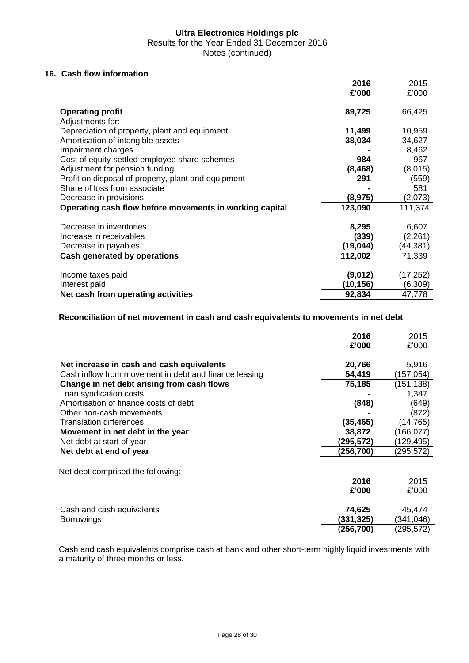Results for the Year Ended 31 December 2016

Notes (continued)

#### **16. Cash flow information**

|                                                         | 2016      | 2015      |
|---------------------------------------------------------|-----------|-----------|
|                                                         | £'000     | £'000     |
| <b>Operating profit</b>                                 | 89,725    | 66,425    |
| Adjustments for:                                        |           |           |
| Depreciation of property, plant and equipment           | 11,499    | 10,959    |
| Amortisation of intangible assets                       | 38,034    | 34,627    |
| Impairment charges                                      |           | 8,462     |
| Cost of equity-settled employee share schemes           | 984       | 967       |
| Adjustment for pension funding                          | (8, 468)  | (8,015)   |
| Profit on disposal of property, plant and equipment     | 291       | (559)     |
| Share of loss from associate                            |           | 581       |
| Decrease in provisions                                  | (8, 975)  | (2,073)   |
| Operating cash flow before movements in working capital | 123,090   | 111,374   |
| Decrease in inventories                                 | 8,295     | 6,607     |
| Increase in receivables                                 | (339)     | (2,261)   |
| Decrease in payables                                    | (19, 044) | (44,381)  |
| Cash generated by operations                            | 112,002   | 71,339    |
| Income taxes paid                                       | (9,012)   | (17, 252) |
| Interest paid                                           | (10,156)  | (6,309)   |
| Net cash from operating activities                      | 92,834    | 47,778    |

#### **Reconciliation of net movement in cash and cash equivalents to movements in net debt**

|                                                       | 2016<br>£'000 | 2015<br>£'000 |
|-------------------------------------------------------|---------------|---------------|
| Net increase in cash and cash equivalents             | 20,766        | 5,916         |
| Cash inflow from movement in debt and finance leasing | 54,419        | (157, 054)    |
| Change in net debt arising from cash flows            | 75,185        | (151, 138)    |
| Loan syndication costs                                |               | 1,347         |
| Amortisation of finance costs of debt                 | (848)         | (649)         |
| Other non-cash movements                              |               | (872)         |
| <b>Translation differences</b>                        | (35,465)      | (14,765)      |
| Movement in net debt in the year                      | 38,872        | (166,077)     |
| Net debt at start of year                             | (295,572)     | (129, 495)    |
| Net debt at end of year                               | (256,700)     | (295,572)     |
| Net debt comprised the following:                     |               |               |
|                                                       | 2016          | 2015          |
|                                                       | £'000         | £'000         |
| Cash and cash equivalents                             | 74,625        | 45,474        |
| <b>Borrowings</b>                                     | (331, 325)    | (341,046)     |
|                                                       | (256,700)     | (295,572)     |

Cash and cash equivalents comprise cash at bank and other short-term highly liquid investments with a maturity of three months or less.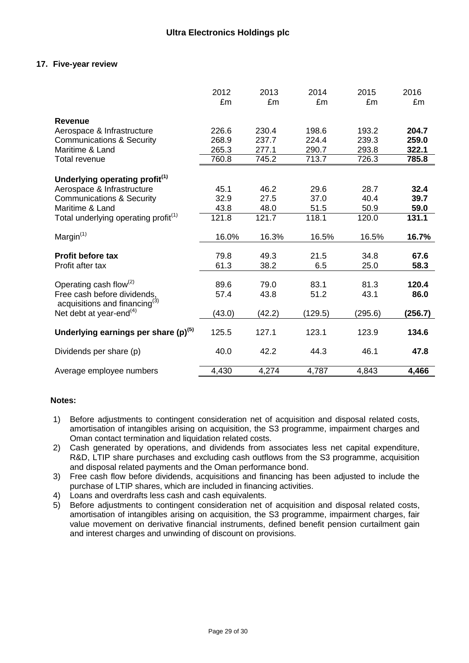#### **17. Five-year review**

|                                                  | 2012<br>£m | 2013<br>£m | 2014<br>£m | 2015<br>£m | 2016<br>£m |
|--------------------------------------------------|------------|------------|------------|------------|------------|
| <b>Revenue</b>                                   |            |            |            |            |            |
| Aerospace & Infrastructure                       | 226.6      | 230.4      | 198.6      | 193.2      | 204.7      |
| <b>Communications &amp; Security</b>             | 268.9      | 237.7      | 224.4      | 239.3      | 259.0      |
| Maritime & Land                                  | 265.3      | 277.1      | 290.7      | 293.8      | 322.1      |
| Total revenue                                    | 760.8      | 745.2      | 713.7      | 726.3      | 785.8      |
| Underlying operating profit <sup>(1)</sup>       |            |            |            |            |            |
| Aerospace & Infrastructure                       | 45.1       | 46.2       | 29.6       | 28.7       | 32.4       |
| <b>Communications &amp; Security</b>             | 32.9       | 27.5       | 37.0       | 40.4       | 39.7       |
| Maritime & Land                                  | 43.8       | 48.0       | 51.5       | 50.9       | 59.0       |
| Total underlying operating profit <sup>(1)</sup> | 121.8      | 121.7      | 118.1      | 120.0      | 131.1      |
| Margin $(1)$                                     | 16.0%      | 16.3%      | 16.5%      | 16.5%      | 16.7%      |
| <b>Profit before tax</b>                         | 79.8       | 49.3       | 21.5       | 34.8       | 67.6       |
| Profit after tax                                 | 61.3       | 38.2       | 6.5        | 25.0       | 58.3       |
| Operating cash flow $^{(2)}$                     | 89.6       | 79.0       | 83.1       | 81.3       | 120.4      |
| Free cash before dividends,                      | 57.4       | 43.8       | 51.2       | 43.1       | 86.0       |
| acquisitions and financing $(3)$                 |            |            |            |            |            |
| Net debt at year-end $(4)$                       | (43.0)     | (42.2)     | (129.5)    | (295.6)    | (256.7)    |
| Underlying earnings per share $(p)^{(5)}$        | 125.5      | 127.1      | 123.1      | 123.9      | 134.6      |
| Dividends per share (p)                          | 40.0       | 42.2       | 44.3       | 46.1       | 47.8       |
| Average employee numbers                         | 4,430      | 4,274      | 4,787      | 4,843      | 4,466      |

#### **Notes:**

- 1) Before adjustments to contingent consideration net of acquisition and disposal related costs, amortisation of intangibles arising on acquisition, the S3 programme, impairment charges and Oman contact termination and liquidation related costs.
- 2) Cash generated by operations, and dividends from associates less net capital expenditure, R&D, LTIP share purchases and excluding cash outflows from the S3 programme, acquisition and disposal related payments and the Oman performance bond.
- 3) Free cash flow before dividends, acquisitions and financing has been adjusted to include the purchase of LTIP shares, which are included in financing activities.
- 4) Loans and overdrafts less cash and cash equivalents.
- 5) Before adjustments to contingent consideration net of acquisition and disposal related costs, amortisation of intangibles arising on acquisition, the S3 programme, impairment charges, fair value movement on derivative financial instruments, defined benefit pension curtailment gain and interest charges and unwinding of discount on provisions.